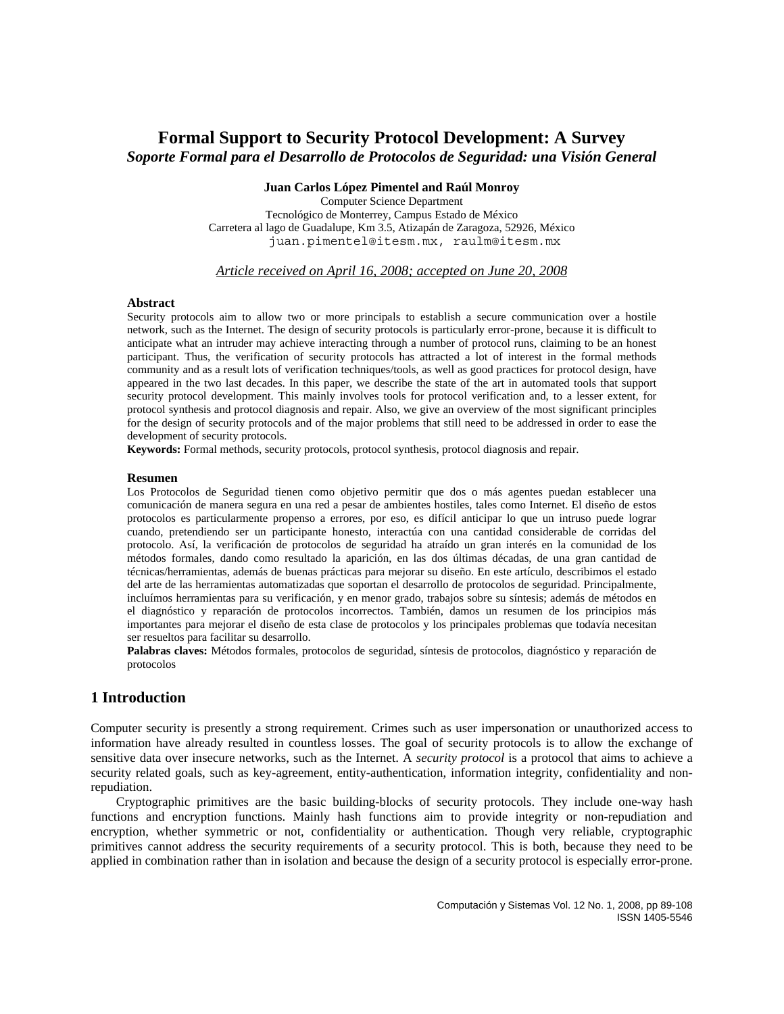# **Formal Support to Security Protocol Development: A Survey**  *Soporte Formal para el Desarrollo de Protocolos de Seguridad: una Visión General*

#### **Juan Carlos López Pimentel and Raúl Monroy**

Computer Science Department Tecnológico de Monterrey, Campus Estado de México Carretera al lago de Guadalupe, Km 3.5, Atizapán de Zaragoza, 52926, México juan.pimentel@itesm.mx, raulm@itesm.mx

### *Article received on April 16, 2008; accepted on June 20, 2008*

#### **Abstract**

Security protocols aim to allow two or more principals to establish a secure communication over a hostile network, such as the Internet. The design of security protocols is particularly error-prone, because it is difficult to anticipate what an intruder may achieve interacting through a number of protocol runs, claiming to be an honest participant. Thus, the verification of security protocols has attracted a lot of interest in the formal methods community and as a result lots of verification techniques/tools, as well as good practices for protocol design, have appeared in the two last decades. In this paper, we describe the state of the art in automated tools that support security protocol development. This mainly involves tools for protocol verification and, to a lesser extent, for protocol synthesis and protocol diagnosis and repair. Also, we give an overview of the most significant principles for the design of security protocols and of the major problems that still need to be addressed in order to ease the development of security protocols.

**Keywords:** Formal methods, security protocols, protocol synthesis, protocol diagnosis and repair.

#### **Resumen**

Los Protocolos de Seguridad tienen como objetivo permitir que dos o más agentes puedan establecer una comunicación de manera segura en una red a pesar de ambientes hostiles, tales como Internet. El diseño de estos protocolos es particularmente propenso a errores, por eso, es difícil anticipar lo que un intruso puede lograr cuando, pretendiendo ser un participante honesto, interactúa con una cantidad considerable de corridas del protocolo. Así, la verificación de protocolos de seguridad ha atraído un gran interés en la comunidad de los métodos formales, dando como resultado la aparición, en las dos últimas décadas, de una gran cantidad de técnicas/herramientas, además de buenas prácticas para mejorar su diseño. En este artículo, describimos el estado del arte de las herramientas automatizadas que soportan el desarrollo de protocolos de seguridad. Principalmente, incluímos herramientas para su verificación, y en menor grado, trabajos sobre su síntesis; además de métodos en el diagnóstico y reparación de protocolos incorrectos. También, damos un resumen de los principios más importantes para mejorar el diseño de esta clase de protocolos y los principales problemas que todavía necesitan ser resueltos para facilitar su desarrollo.

**Palabras claves:** Métodos formales, protocolos de seguridad, síntesis de protocolos, diagnóstico y reparación de protocolos

# **1 Introduction**

Computer security is presently a strong requirement. Crimes such as user impersonation or unauthorized access to information have already resulted in countless losses. The goal of security protocols is to allow the exchange of sensitive data over insecure networks, such as the Internet. A *security protocol* is a protocol that aims to achieve a security related goals, such as key-agreement, entity-authentication, information integrity, confidentiality and nonrepudiation.

Cryptographic primitives are the basic building-blocks of security protocols. They include one-way hash functions and encryption functions. Mainly hash functions aim to provide integrity or non-repudiation and encryption, whether symmetric or not, confidentiality or authentication. Though very reliable, cryptographic primitives cannot address the security requirements of a security protocol. This is both, because they need to be applied in combination rather than in isolation and because the design of a security protocol is especially error-prone.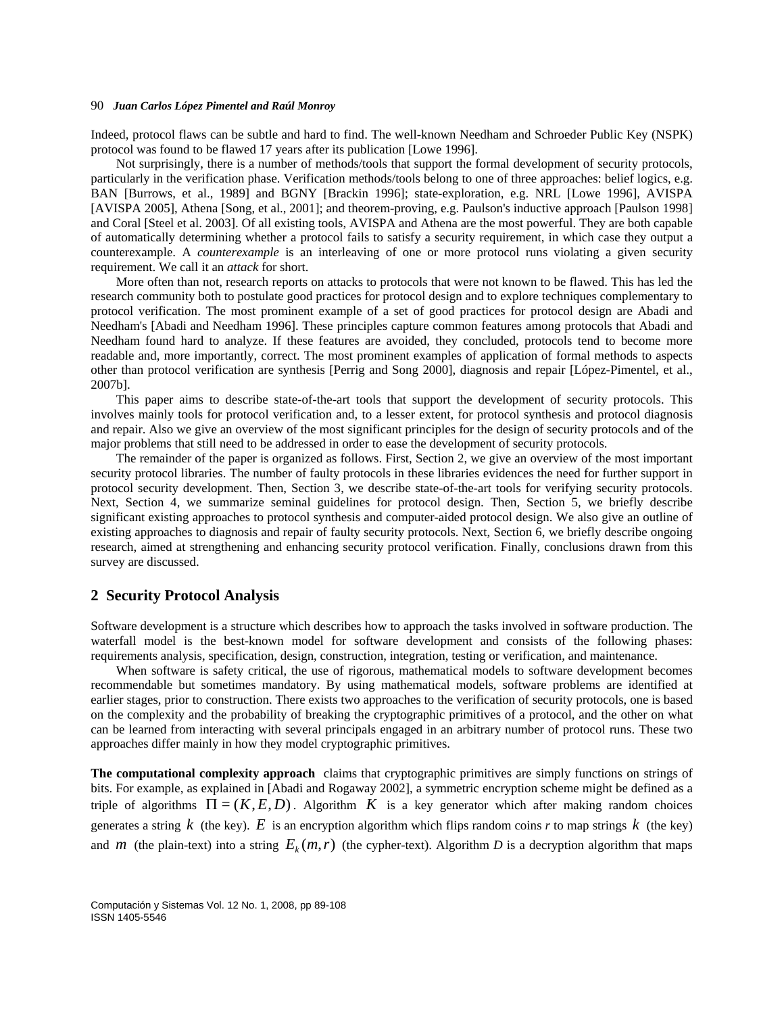Indeed, protocol flaws can be subtle and hard to find. The well-known Needham and Schroeder Public Key (NSPK) protocol was found to be flawed 17 years after its publication [Lowe 1996].

Not surprisingly, there is a number of methods/tools that support the formal development of security protocols, particularly in the verification phase. Verification methods/tools belong to one of three approaches: belief logics, e.g. BAN [Burrows, et al., 1989] and BGNY [Brackin 1996]; state-exploration, e.g. NRL [Lowe 1996], AVISPA [AVISPA 2005], Athena [Song, et al., 2001]; and theorem-proving, e.g. Paulson's inductive approach [Paulson 1998] and Coral [Steel et al. 2003]. Of all existing tools, AVISPA and Athena are the most powerful. They are both capable of automatically determining whether a protocol fails to satisfy a security requirement, in which case they output a counterexample. A *counterexample* is an interleaving of one or more protocol runs violating a given security requirement. We call it an *attack* for short.

More often than not, research reports on attacks to protocols that were not known to be flawed. This has led the research community both to postulate good practices for protocol design and to explore techniques complementary to protocol verification. The most prominent example of a set of good practices for protocol design are Abadi and Needham's [Abadi and Needham 1996]. These principles capture common features among protocols that Abadi and Needham found hard to analyze. If these features are avoided, they concluded, protocols tend to become more readable and, more importantly, correct. The most prominent examples of application of formal methods to aspects other than protocol verification are synthesis [Perrig and Song 2000], diagnosis and repair [López-Pimentel, et al., 2007b].

This paper aims to describe state-of-the-art tools that support the development of security protocols. This involves mainly tools for protocol verification and, to a lesser extent, for protocol synthesis and protocol diagnosis and repair. Also we give an overview of the most significant principles for the design of security protocols and of the major problems that still need to be addressed in order to ease the development of security protocols.

The remainder of the paper is organized as follows. First, Section 2, we give an overview of the most important security protocol libraries. The number of faulty protocols in these libraries evidences the need for further support in protocol security development. Then, Section 3, we describe state-of-the-art tools for verifying security protocols. Next, Section 4, we summarize seminal guidelines for protocol design. Then, Section 5, we briefly describe significant existing approaches to protocol synthesis and computer-aided protocol design. We also give an outline of existing approaches to diagnosis and repair of faulty security protocols. Next, Section 6, we briefly describe ongoing research, aimed at strengthening and enhancing security protocol verification. Finally, conclusions drawn from this survey are discussed.

#### **2 Security Protocol Analysis**

Software development is a structure which describes how to approach the tasks involved in software production. The waterfall model is the best-known model for software development and consists of the following phases: requirements analysis, specification, design, construction, integration, testing or verification, and maintenance.

When software is safety critical, the use of rigorous, mathematical models to software development becomes recommendable but sometimes mandatory. By using mathematical models, software problems are identified at earlier stages, prior to construction. There exists two approaches to the verification of security protocols, one is based on the complexity and the probability of breaking the cryptographic primitives of a protocol, and the other on what can be learned from interacting with several principals engaged in an arbitrary number of protocol runs. These two approaches differ mainly in how they model cryptographic primitives.

**The computational complexity approach** claims that cryptographic primitives are simply functions on strings of bits. For example, as explained in [Abadi and Rogaway 2002], a symmetric encryption scheme might be defined as a triple of algorithms  $\Pi = (K, E, D)$ . Algorithm *K* is a key generator which after making random choices generates a string  $k$  (the key).  $E$  is an encryption algorithm which flips random coins  $r$  to map strings  $k$  (the key) and *m* (the plain-text) into a string  $E_k(m, r)$  (the cypher-text). Algorithm *D* is a decryption algorithm that maps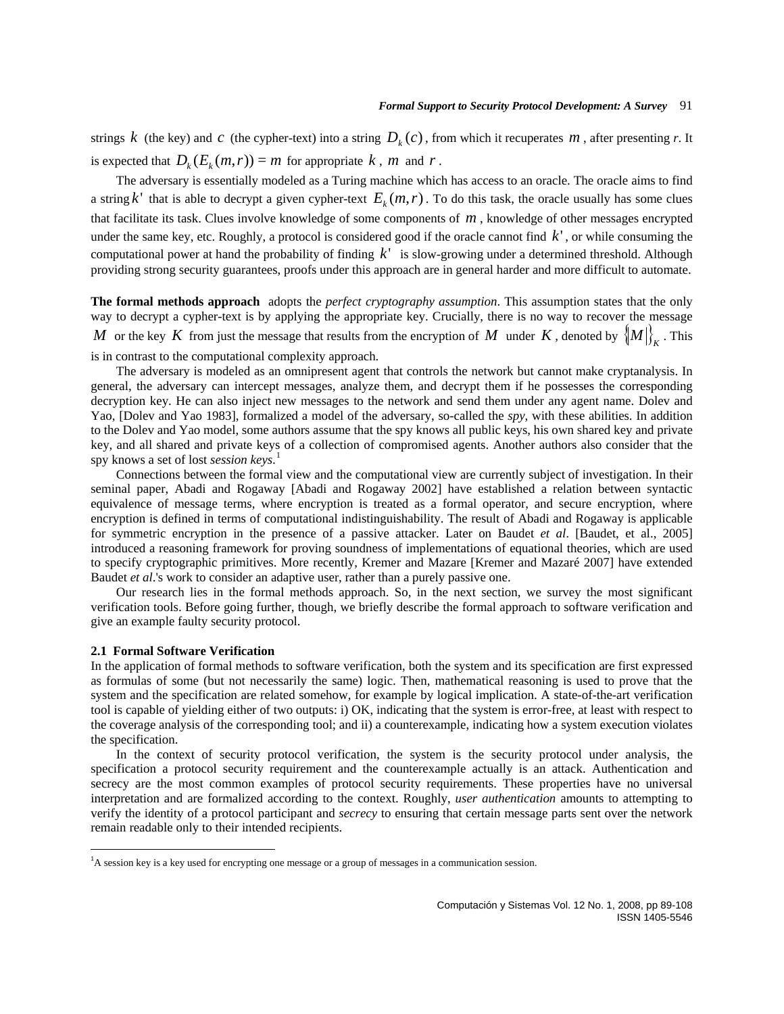strings  $k$  (the key) and  $c$  (the cypher-text) into a string  $D_k(c)$ , from which it recuperates  $m$ , after presenting  $r$ . It is expected that  $D_k(E_k(m, r)) = m$  for appropriate  $k$ ,  $m$  and  $r$ .

The adversary is essentially modeled as a Turing machine which has access to an oracle. The oracle aims to find a string k<sup> $\cdot$ </sup> that is able to decrypt a given cypher-text  $E_k(m, r)$ . To do this task, the oracle usually has some clues that facilitate its task. Clues involve knowledge of some components of *m* , knowledge of other messages encrypted under the same key, etc. Roughly, a protocol is considered good if the oracle cannot find  $k'$ , or while consuming the computational power at hand the probability of finding  $k'$  is slow-growing under a determined threshold. Although providing strong security guarantees, proofs under this approach are in general harder and more difficult to automate.

**The formal methods approach** adopts the *perfect cryptography assumption*. This assumption states that the only way to decrypt a cypher-text is by applying the appropriate key. Crucially, there is no way to recover the message *M* or the key *K* from just the message that results from the encryption of *M* under *K*, denoted by  $\left\{M\right\}_{K}$ . This

is in contrast to the computational complexity approach.

The adversary is modeled as an omnipresent agent that controls the network but cannot make cryptanalysis. In general, the adversary can intercept messages, analyze them, and decrypt them if he possesses the corresponding decryption key. He can also inject new messages to the network and send them under any agent name. Dolev and Yao, [Dolev and Yao 1983], formalized a model of the adversary, so-called the *spy*, with these abilities. In addition to the Dolev and Yao model, some authors assume that the spy knows all public keys, his own shared key and private key, and all shared and private keys of a collection of compromised agents. Another authors also consider that the spy knows a set of lost *session keys*. [1](#page-2-0)

Connections between the formal view and the computational view are currently subject of investigation. In their seminal paper, Abadi and Rogaway [Abadi and Rogaway 2002] have established a relation between syntactic equivalence of message terms, where encryption is treated as a formal operator, and secure encryption, where encryption is defined in terms of computational indistinguishability. The result of Abadi and Rogaway is applicable for symmetric encryption in the presence of a passive attacker. Later on Baudet *et al*. [Baudet, et al., 2005] introduced a reasoning framework for proving soundness of implementations of equational theories, which are used to specify cryptographic primitives. More recently, Kremer and Mazare [Kremer and Mazaré 2007] have extended Baudet *et al*.'s work to consider an adaptive user, rather than a purely passive one.

Our research lies in the formal methods approach. So, in the next section, we survey the most significant verification tools. Before going further, though, we briefly describe the formal approach to software verification and give an example faulty security protocol.

#### **2.1 Formal Software Verification**

In the application of formal methods to software verification, both the system and its specification are first expressed as formulas of some (but not necessarily the same) logic. Then, mathematical reasoning is used to prove that the system and the specification are related somehow, for example by logical implication. A state-of-the-art verification tool is capable of yielding either of two outputs: i) OK, indicating that the system is error-free, at least with respect to the coverage analysis of the corresponding tool; and ii) a counterexample, indicating how a system execution violates the specification.

In the context of security protocol verification, the system is the security protocol under analysis, the specification a protocol security requirement and the counterexample actually is an attack. Authentication and secrecy are the most common examples of protocol security requirements. These properties have no universal interpretation and are formalized according to the context. Roughly, *user authentication* amounts to attempting to verify the identity of a protocol participant and *secrecy* to ensuring that certain message parts sent over the network remain readable only to their intended recipients.

<span id="page-2-0"></span><sup>&</sup>lt;sup>1</sup>A session key is a key used for encrypting one message or a group of messages in a communication session.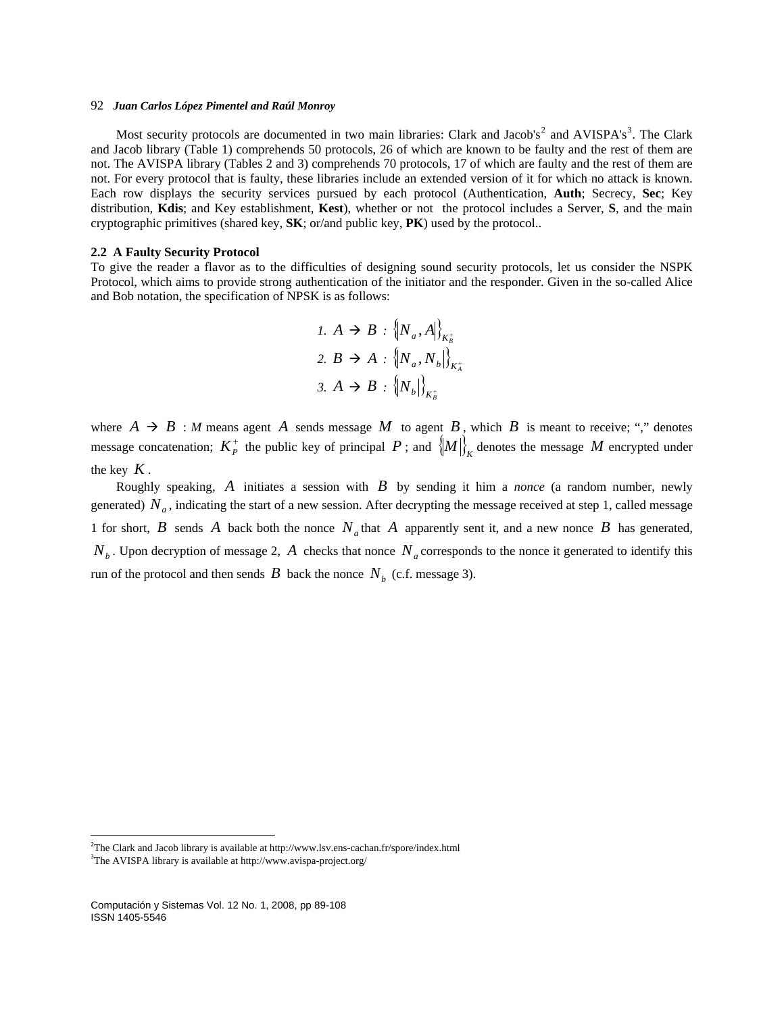Most security protocols are documented in two main libraries: Clark and Jacob's<sup>[2](#page-3-0)</sup> and AVISPA's<sup>[3](#page-3-1)</sup>. The Clark and Jacob library (Table 1) comprehends 50 protocols, 26 of which are known to be faulty and the rest of them are not. The AVISPA library (Tables 2 and 3) comprehends 70 protocols, 17 of which are faulty and the rest of them are not. For every protocol that is faulty, these libraries include an extended version of it for which no attack is known. Each row displays the security services pursued by each protocol (Authentication, **Auth**; Secrecy, **Sec**; Key distribution, **Kdis**; and Key establishment, **Kest**), whether or not the protocol includes a Server, **S**, and the main cryptographic primitives (shared key, **SK**; or/and public key, **PK**) used by the protocol..

#### **2.2 A Faulty Security Protocol**

To give the reader a flavor as to the difficulties of designing sound security protocols, let us consider the NSPK Protocol, which aims to provide strong authentication of the initiator and the responder. Given in the so-called Alice and Bob notation, the specification of NPSK is as follows:

\n1. 
$$
A \to B : \{N_a, A\}_{K_B^+}
$$
\n

\n\n2.  $B \to A : \{N_a, N_b\}_{K_A^+}$ \n

\n\n3.  $A \to B : \{N_b\}_{K_B^+}$ \n

where  $A \rightarrow B : M$  means agent A sends message M to agent B, which B is meant to receive; "," denotes message concatenation;  $K_P^+$  the public key of principal  $P$ ; and  $\left\{M\right\}_K^+$  denotes the message  $M$  encrypted under the key  $K$ .

Roughly speaking, *A* initiates a session with *B* by sending it him a *nonce* (a random number, newly generated)  $N_a$ , indicating the start of a new session. After decrypting the message received at step 1, called message 1 for short,  $B$  sends  $A$  back both the nonce  $N_a$  that  $A$  apparently sent it, and a new nonce  $B$  has generated,  $N_b$ . Upon decryption of message 2, A checks that nonce  $N_a$  corresponds to the nonce it generated to identify this From of the protocol and then sends  $B$  back the nonce  $N_b$  (c.f. message 3).

<span id="page-3-0"></span><sup>&</sup>lt;sup>2</sup>The Clark and Jacob library is available at http://www.lsv.ens-cachan.fr/spore/index.html

<span id="page-3-1"></span><sup>&</sup>lt;sup>3</sup>The AVISPA library is available at http://www.avispa-project.org/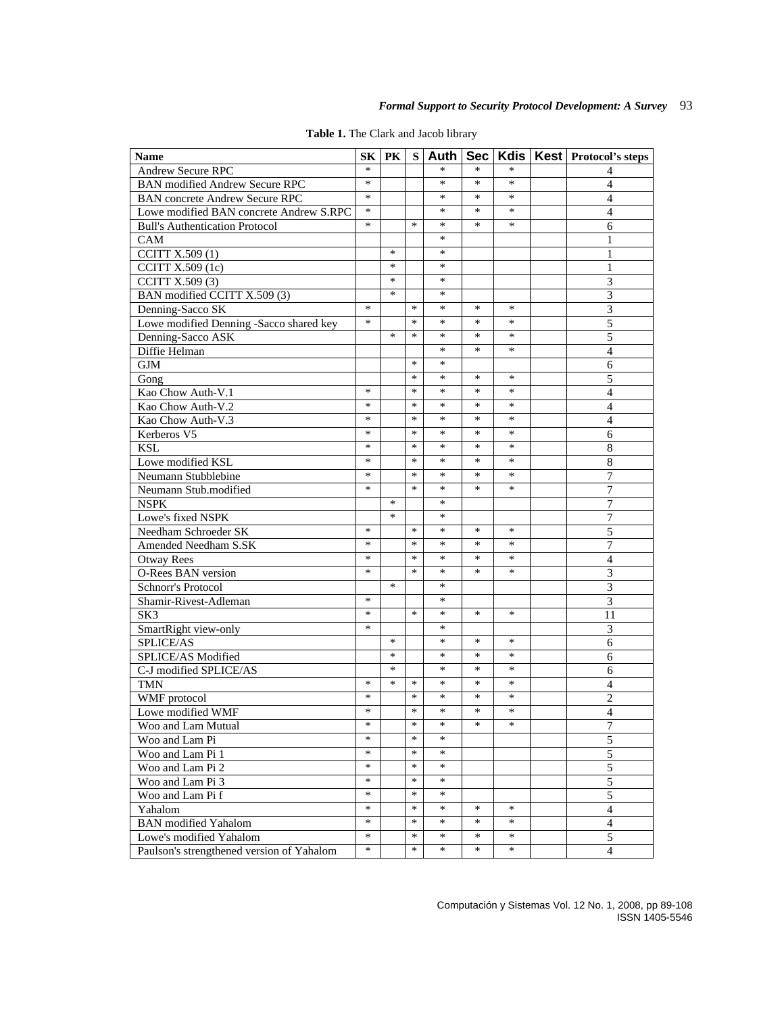| <b>Name</b>                               | SK <sub>1</sub> | <b>PK</b> | S l    | Auth   | Sec l  |        | Kdis   Kest   Protocol's steps |
|-------------------------------------------|-----------------|-----------|--------|--------|--------|--------|--------------------------------|
| <b>Andrew Secure RPC</b>                  | $\ast$          |           |        | *      | *      | $\ast$ | 4                              |
| <b>BAN</b> modified Andrew Secure RPC     | $\ast$          |           |        | $\ast$ | $\ast$ | $\ast$ | $\overline{4}$                 |
| <b>BAN</b> concrete Andrew Secure RPC     | $\ast$          |           |        | *      | *      | $\ast$ | 4                              |
| Lowe modified BAN concrete Andrew S.RPC   | $\ast$          |           |        | ∗      | ∗      | *      | 4                              |
| <b>Bull's Authentication Protocol</b>     | $\ast$          |           | *      | *      | *      | *      | 6                              |
| CAM                                       |                 |           |        | ∗      |        |        | $\mathbf{1}$                   |
| CCITT X.509 (1)                           |                 | ∗         |        | ∗      |        |        | 1                              |
| CCITT X.509 (1c)                          |                 | *         |        | ∗      |        |        | 1                              |
| CCITT X.509 (3)                           |                 | *         |        | *      |        |        | 3                              |
| BAN modified CCITT X.509 (3)              |                 | *         |        | ∗      |        |        | 3                              |
| Denning-Sacco SK                          | $\ast$          |           | $\ast$ | *      | *      | *      | $\overline{\mathbf{3}}$        |
| Lowe modified Denning -Sacco shared key   | $\ast$          |           | *      | ∗      | ∗      | ∗      | 5                              |
| Denning-Sacco ASK                         |                 | *         | *      | *      | *      | $\ast$ | 5                              |
| Diffie Helman                             |                 |           |        | $\ast$ | *      | $\ast$ |                                |
| <b>GJM</b>                                |                 |           | *      | $\ast$ |        |        | $\overline{4}$<br>6            |
|                                           |                 |           | ∗      | *      | *      | ∗      | 5                              |
| Gong                                      | *               |           | ∗      | ∗      | $\ast$ | $\ast$ | $\overline{\mathcal{L}}$       |
| Kao Chow Auth-V.1                         | $\ast$          |           | *      | *      | *      | *      |                                |
| Kao Chow Auth-V.2<br>Kao Chow Auth-V.3    | *               |           | $\ast$ | ∗      | $\ast$ | ∗      | $\overline{4}$                 |
|                                           | ∗               |           | ∗      | ∗      | ∗      | ∗      | $\overline{4}$                 |
| Kerberos V5                               | $\ast$          |           | $\ast$ | *      | $\ast$ | $\ast$ | 6                              |
| <b>KSL</b>                                |                 |           |        |        |        |        | $\overline{8}$                 |
| Lowe modified KSL                         | $\ast$          |           | *      | *      | *      | *      | $\,$ 8 $\,$                    |
| Neumann Stubblebine                       | $\ast$          |           | $\ast$ | $\ast$ | $\ast$ | $\ast$ | $\overline{7}$                 |
| Neumann Stub.modified                     | $\ast$          |           | *      | *      | *      | $\ast$ | 7                              |
| <b>NSPK</b>                               |                 | *         |        | ∗      |        |        | 7                              |
| Lowe's fixed NSPK                         |                 | $\ast$    |        | $\ast$ |        |        | 7                              |
| Needham Schroeder SK                      | $\ast$          |           | $\ast$ | $\ast$ | $\ast$ | $\ast$ | 5                              |
| Amended Needham S.SK                      | $\ast$          |           | $\ast$ | $\ast$ | $\ast$ | $\ast$ | 7                              |
| <b>Otway Rees</b>                         | $\ast$          |           | *      | ∗      | ∗      | ∗      | $\overline{4}$                 |
| <b>O-Rees BAN</b> version                 | *               |           | ∗      | ∗      | *      | *      | 3                              |
| Schnorr's Protocol                        |                 | *         |        | *      |        |        | 3                              |
| Shamir-Rivest-Adleman                     | $\ast$          |           |        | *      |        |        | $\overline{3}$                 |
| SK <sub>3</sub>                           | ∗               |           | *      | ∗      | ∗      | ∗      | 11                             |
| SmartRight view-only                      | *               |           |        | ∗      |        |        | $\overline{3}$                 |
| SPLICE/AS                                 |                 | *         |        | *      | *      | *      | 6                              |
| SPLICE/AS Modified                        |                 | *         |        | *      | $\ast$ | ∗      | 6                              |
| C-J modified SPLICE/AS                    |                 | $\ast$    |        | *      | $\ast$ | $\ast$ | 6                              |
| <b>TMN</b>                                | ∗               | ∗         | *      | ∗      | ∗      | ∗      | $\overline{4}$                 |
| WMF protocol                              | *               |           | $\ast$ | *      | *      | *      | $\overline{c}$                 |
| Lowe modified WMF                         | *               |           | $\ast$ | *      | *      | ∗      | $\overline{\mathcal{L}}$       |
| Woo and Lam Mutual                        | $\ast$          |           | $\ast$ | $\ast$ | $\ast$ | $\ast$ | $\boldsymbol{7}$               |
| Woo and Lam Pi                            | *               |           | *      | *      |        |        | 5                              |
| Woo and Lam Pi 1                          | $\ast$          |           | $\ast$ | $\ast$ |        |        | 5                              |
| Woo and Lam Pi 2                          | $\ast$          |           | $\ast$ | $\ast$ |        |        | 5                              |
| Woo and Lam Pi 3                          | $\ast$          |           | $\ast$ | $\ast$ |        |        | 5                              |
| Woo and Lam Pi f                          | $\ast$          |           | ∗      | *      |        |        | 5                              |
| Yahalom                                   | $\ast$          |           | $\ast$ | $\ast$ | *      | *      | $\overline{4}$                 |
| <b>BAN</b> modified Yahalom               | $\ast$          |           | *      | $\ast$ | *      | *      | $\overline{4}$                 |
| Lowe's modified Yahalom                   | $\ast$          |           | $\ast$ | $\ast$ | $\ast$ | $\ast$ | 5                              |
| Paulson's strengthened version of Yahalom | $\ast$          |           | $\ast$ | $\ast$ | $\ast$ | ∗      | $\overline{4}$                 |

**Table 1.** The Clark and Jacob library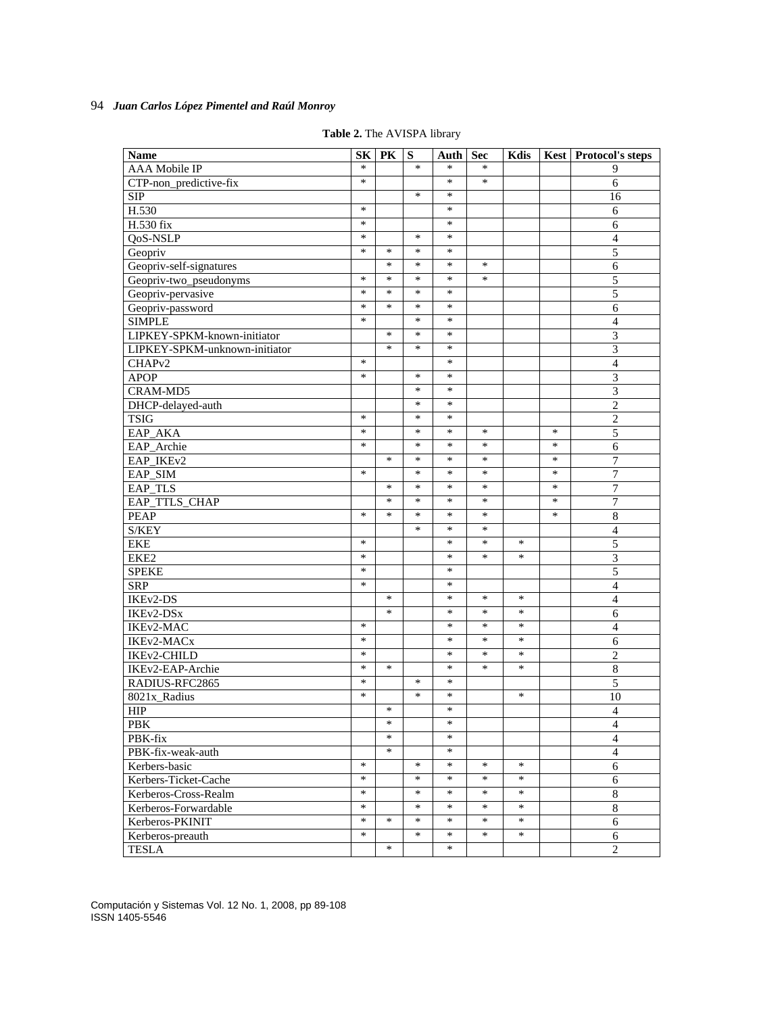| <b>Name</b>                   | <b>SK</b> | PK     | S      | Auth   | Sec    | Kdis   |        | <b>Kest</b> Protocol's steps |
|-------------------------------|-----------|--------|--------|--------|--------|--------|--------|------------------------------|
| <b>AAA</b> Mobile IP          | $\ast$    |        | $\ast$ | *      | *      |        |        | 9                            |
| CTP-non_predictive-fix        | $\ast$    |        |        | $\ast$ | $\ast$ |        |        | 6                            |
| <b>SIP</b>                    |           |        | *      | $\ast$ |        |        |        | 16                           |
| H.530                         | $\ast$    |        |        | $\ast$ |        |        |        | 6                            |
| H.530 fix                     | $\ast$    |        |        | ∗      |        |        |        | 6                            |
| QoS-NSLP                      | $\ast$    |        | $\ast$ | $\ast$ |        |        |        | $\overline{4}$               |
| Geopriv                       | $\ast$    | $\ast$ | *      | $\ast$ |        |        |        | 5                            |
| Geopriv-self-signatures       |           | $\ast$ | $\ast$ | $\ast$ | *      |        |        | 6                            |
| Geopriv-two_pseudonyms        | $\ast$    | $\ast$ | $\ast$ | $\ast$ | $\ast$ |        |        | 5                            |
| Geopriv-pervasive             | ∗         | ∗      | ∗      | ∗      |        |        |        | 5                            |
| Geopriv-password              | $\ast$    | $\ast$ | $\ast$ | $\ast$ |        |        |        | 6                            |
| <b>SIMPLE</b>                 | $\ast$    |        | $\ast$ | $\ast$ |        |        |        | $\overline{4}$               |
| LIPKEY-SPKM-known-initiator   |           | $\ast$ | $\ast$ | $\ast$ |        |        |        | $\overline{\mathbf{3}}$      |
| LIPKEY-SPKM-unknown-initiator |           | $\ast$ | $\ast$ | $\ast$ |        |        |        | 3                            |
| CHAP <sub>v2</sub>            | $\ast$    |        |        | ∗      |        |        |        | $\overline{\mathcal{L}}$     |
| <b>APOP</b>                   | $\ast$    |        | $\ast$ | $\ast$ |        |        |        | 3                            |
| <b>CRAM-MD5</b>               |           |        | $\ast$ | $\ast$ |        |        |        | $\overline{3}$               |
| DHCP-delayed-auth             |           |        | ∗      | *      |        |        |        | $\overline{2}$               |
| <b>TSIG</b>                   | $\ast$    |        | $\ast$ | $\ast$ |        |        |        | $\overline{c}$               |
| EAP_AKA                       | $\ast$    |        | $\ast$ | $\ast$ | *      |        | $\ast$ | 5                            |
| EAP_Archie                    | $\ast$    |        | $\ast$ | $\ast$ | $\ast$ |        | *      | 6                            |
| EAP_IKEv2                     |           | $\ast$ | $\ast$ | $\ast$ | $\ast$ |        | $\ast$ | 7                            |
| EAP_SIM                       | ∗         |        | ∗      | ∗      | ∗      |        | $\ast$ | $\overline{7}$               |
| EAP_TLS                       |           | $\ast$ | $\ast$ | $\ast$ | $\ast$ |        | $\ast$ | $\overline{7}$               |
| EAP_TTLS_CHAP                 |           | $\ast$ | $\ast$ | $\ast$ | *      |        | $\ast$ | 7                            |
| <b>PEAP</b>                   | $\ast$    | $\ast$ | $\ast$ | $\ast$ | *      |        | $\ast$ | 8                            |
| S/KEY                         |           |        | $\ast$ | $\ast$ | $\ast$ |        |        | $\overline{4}$               |
| <b>EKE</b>                    | $\ast$    |        |        | ∗      | *      | ∗      |        | 5                            |
| EKE2                          | $\ast$    |        |        | *      | *      | ∗      |        | 3                            |
| <b>SPEKE</b>                  | $\ast$    |        |        | $\ast$ |        |        |        | 5                            |
| <b>SRP</b>                    | $\ast$    |        |        | ∗      |        |        |        | $\overline{4}$               |
| IKEv2-DS                      |           | $\ast$ |        | ∗      | *      | ∗      |        | $\overline{4}$               |
| IKEv2-DSx                     |           | *      |        | $\ast$ | *      | ∗      |        | 6                            |
| IKEv2-MAC                     | $\ast$    |        |        | $\ast$ | *      | ∗      |        | $\overline{4}$               |
| IKEv2-MACx                    | $\ast$    |        |        | $\ast$ | $\ast$ | $\ast$ |        | 6                            |
| IKEv2-CHILD                   | ∗         |        |        | ∗      | ∗      | *      |        | 2                            |
| IKEv2-EAP-Archie              | $\ast$    | $\ast$ |        | $\ast$ | *      | *      |        | 8                            |
| RADIUS-RFC2865                | $\ast$    |        | $\ast$ | $\ast$ |        |        |        | 5                            |
| 8021x_Radius                  | $\ast$    |        | $\ast$ | $\ast$ |        | ∗      |        | 10                           |
| <b>HIP</b>                    |           | $\ast$ |        | ∗      |        |        |        | $\overline{4}$               |
| PBK                           |           | ∗      |        | ∗      |        |        |        | $\overline{4}$               |
| PBK-fix                       |           | $\ast$ |        | $\ast$ |        |        |        | $\overline{4}$               |
| PBK-fix-weak-auth             |           | $\ast$ |        | $\ast$ |        |        |        | $\overline{4}$               |
| Kerbers-basic                 | $\ast$    |        | $\ast$ | $\ast$ | $\ast$ | $\ast$ |        | 6                            |
| Kerbers-Ticket-Cache          | $\ast$    |        | $\ast$ | $\ast$ | $\ast$ | $\ast$ |        | $6\,$                        |
| Kerberos-Cross-Realm          | $\ast$    |        | $\ast$ | $\ast$ | $\ast$ | $\ast$ |        | $\,8\,$                      |
| Kerberos-Forwardable          | $\ast$    |        | $\ast$ | $\ast$ | $\ast$ | $\ast$ |        | $\overline{8}$               |
| Kerberos-PKINIT               | $\ast$    | $\ast$ | $\ast$ | $\ast$ | $\ast$ | $\ast$ |        | 6                            |
| Kerberos-preauth              | $\ast$    |        | $\ast$ | $\ast$ | $\ast$ | $\ast$ |        | 6                            |
| <b>TESLA</b>                  |           | $\ast$ |        | $\ast$ |        |        |        | $\overline{2}$               |

**Table 2.** The AVISPA library

Computación y Sistemas Vol. 12 No. 1, 2008, pp 89-108 ISSN 1405-5546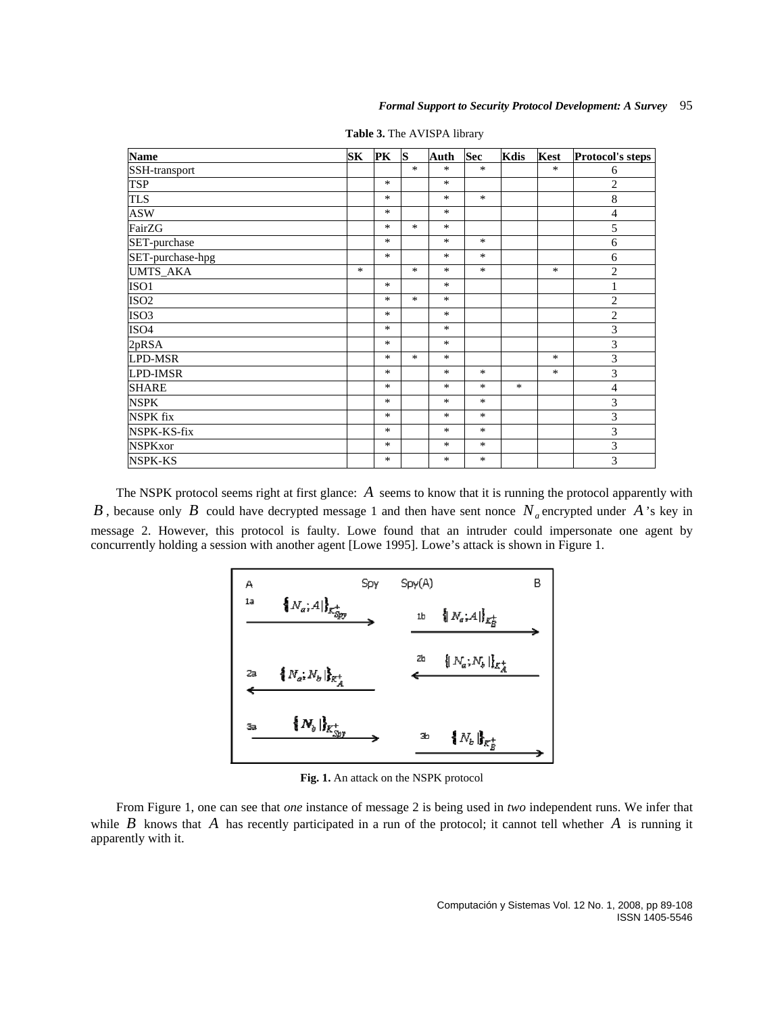| <b>Name</b>      | SK     | PK     | S      | Auth   | <b>Sec</b> | Kdis   | <b>Kest</b> | Protocol's steps |
|------------------|--------|--------|--------|--------|------------|--------|-------------|------------------|
| SSH-transport    |        |        | $\ast$ | $\ast$ | $\ast$     |        | $\ast$      | 6                |
| TSP              |        | $\ast$ |        | $\ast$ |            |        |             | $\overline{2}$   |
| <b>TLS</b>       |        | $\ast$ |        | $\ast$ | $\ast$     |        |             | $\,$ 8 $\,$      |
| <b>ASW</b>       |        | $\ast$ |        | $\ast$ |            |        |             | $\overline{4}$   |
| FairZG           |        | $\ast$ | $\ast$ | $\ast$ |            |        |             | 5                |
| SET-purchase     |        | $\ast$ |        | $*$    | *          |        |             | 6                |
| SET-purchase-hpg |        | $\ast$ |        | $*$    | $\ast$     |        |             | 6                |
| <b>UMTS_AKA</b>  | $\ast$ |        | $\ast$ | $\ast$ | *          |        | *           | $\overline{2}$   |
| ISO <sub>1</sub> |        | $\ast$ |        | $\ast$ |            |        |             | $\mathbf{1}$     |
| ISO <sub>2</sub> |        | $\ast$ | $\ast$ | $\ast$ |            |        |             | $\overline{c}$   |
| ISO <sub>3</sub> |        | $\ast$ |        | $\ast$ |            |        |             | $\mathbf{2}$     |
| ISO <sub>4</sub> |        | $\ast$ |        | $\ast$ |            |        |             | 3                |
| 2pRSA            |        | $\ast$ |        | $*$    |            |        |             | $\overline{3}$   |
| <b>LPD-MSR</b>   |        | $\ast$ | $\ast$ | $\ast$ |            |        | *           | $\mathfrak{Z}$   |
| <b>LPD-IMSR</b>  |        | $*$    |        | $\ast$ | $\ast$     |        | *           | $\mathfrak{Z}$   |
| <b>SHARE</b>     |        | $\ast$ |        | $\ast$ | *          | $\ast$ |             | $\overline{4}$   |
| <b>NSPK</b>      |        | $\ast$ |        | $\ast$ | *          |        |             | 3                |
| <b>NSPK</b> fix  |        | $\ast$ |        | $\ast$ | *          |        |             | 3                |
| NSPK-KS-fix      |        | $\ast$ |        | $\ast$ | $\ast$     |        |             | 3                |
| <b>NSPKxor</b>   |        | $\ast$ |        | $\ast$ | *          |        |             | 3                |
| <b>NSPK-KS</b>   |        | $*$    |        | $\ast$ | *          |        |             | 3                |

**Table 3.** The AVISPA library

The NSPK protocol seems right at first glance: *A* seems to know that it is running the protocol apparently with *B*, because only *B* could have decrypted message 1 and then have sent nonce  $N_a$  encrypted under A 's key in message 2. However, this protocol is faulty. Lowe found that an intruder could impersonate one agent by concurrently holding a session with another agent [Lowe 1995]. Lowe's attack is shown in Figure 1.



**Fig. 1.** An attack on the NSPK protocol

From Figure 1, one can see that *one* instance of message 2 is being used in *two* independent runs. We infer that while  $B$  knows that  $A$  has recently participated in a run of the protocol; it cannot tell whether  $A$  is running it apparently with it.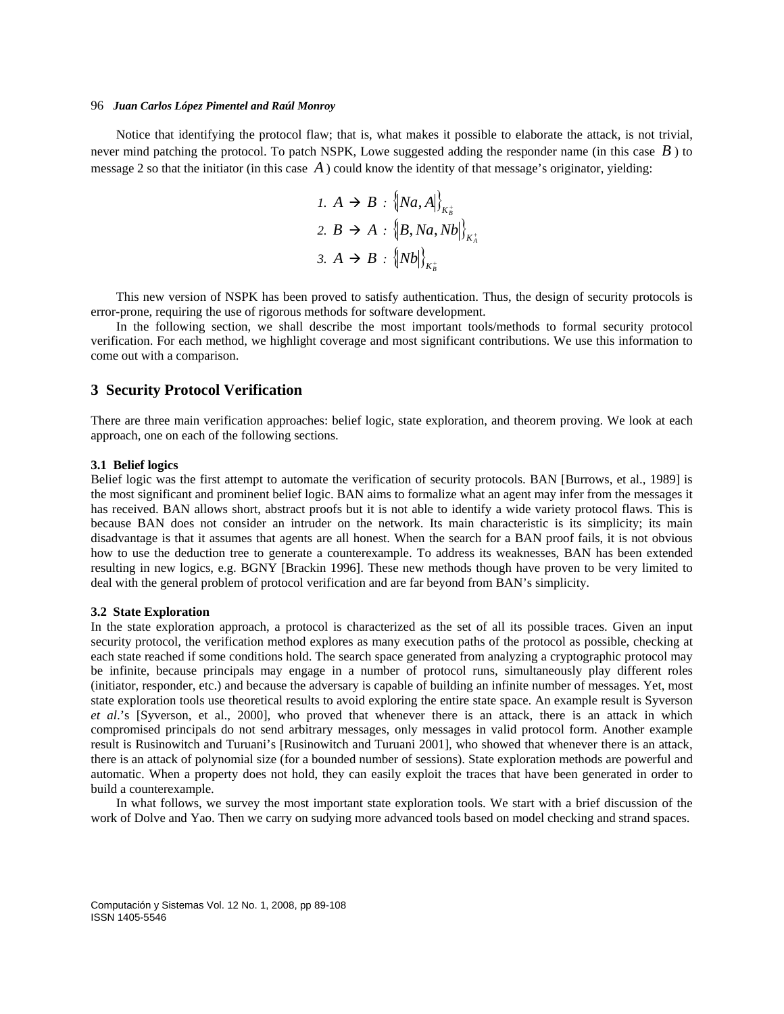Notice that identifying the protocol flaw; that is, what makes it possible to elaborate the attack, is not trivial, never mind patching the protocol. To patch NSPK, Lowe suggested adding the responder name (in this case *B* ) to message 2 so that the initiator (in this case  $\vec{A}$ ) could know the identity of that message's originator, yielding:

$$
I. A \rightarrow B : \left\{ Na, A \right\}_{K_B^+}
$$
  

$$
2. B \rightarrow A : \left\{ B, Na, Nb \right\}_{K_A^+}
$$
  

$$
3. A \rightarrow B : \left\{ Nb \right\}_{K_B^+}
$$

This new version of NSPK has been proved to satisfy authentication. Thus, the design of security protocols is error-prone, requiring the use of rigorous methods for software development.

In the following section, we shall describe the most important tools/methods to formal security protocol verification. For each method, we highlight coverage and most significant contributions. We use this information to come out with a comparison.

# **3 Security Protocol Verification**

There are three main verification approaches: belief logic, state exploration, and theorem proving. We look at each approach, one on each of the following sections.

#### **3.1 Belief logics**

Belief logic was the first attempt to automate the verification of security protocols. BAN [Burrows, et al., 1989] is the most significant and prominent belief logic. BAN aims to formalize what an agent may infer from the messages it has received. BAN allows short, abstract proofs but it is not able to identify a wide variety protocol flaws. This is because BAN does not consider an intruder on the network. Its main characteristic is its simplicity; its main disadvantage is that it assumes that agents are all honest. When the search for a BAN proof fails, it is not obvious how to use the deduction tree to generate a counterexample. To address its weaknesses, BAN has been extended resulting in new logics, e.g. BGNY [Brackin 1996]. These new methods though have proven to be very limited to deal with the general problem of protocol verification and are far beyond from BAN's simplicity.

#### **3.2 State Exploration**

In the state exploration approach, a protocol is characterized as the set of all its possible traces. Given an input security protocol, the verification method explores as many execution paths of the protocol as possible, checking at each state reached if some conditions hold. The search space generated from analyzing a cryptographic protocol may be infinite, because principals may engage in a number of protocol runs, simultaneously play different roles (initiator, responder, etc.) and because the adversary is capable of building an infinite number of messages. Yet, most state exploration tools use theoretical results to avoid exploring the entire state space. An example result is Syverson *et al*.'s [Syverson, et al., 2000], who proved that whenever there is an attack, there is an attack in which compromised principals do not send arbitrary messages, only messages in valid protocol form. Another example result is Rusinowitch and Turuani's [Rusinowitch and Turuani 2001], who showed that whenever there is an attack, there is an attack of polynomial size (for a bounded number of sessions). State exploration methods are powerful and automatic. When a property does not hold, they can easily exploit the traces that have been generated in order to build a counterexample.

In what follows, we survey the most important state exploration tools. We start with a brief discussion of the work of Dolve and Yao. Then we carry on sudying more advanced tools based on model checking and strand spaces.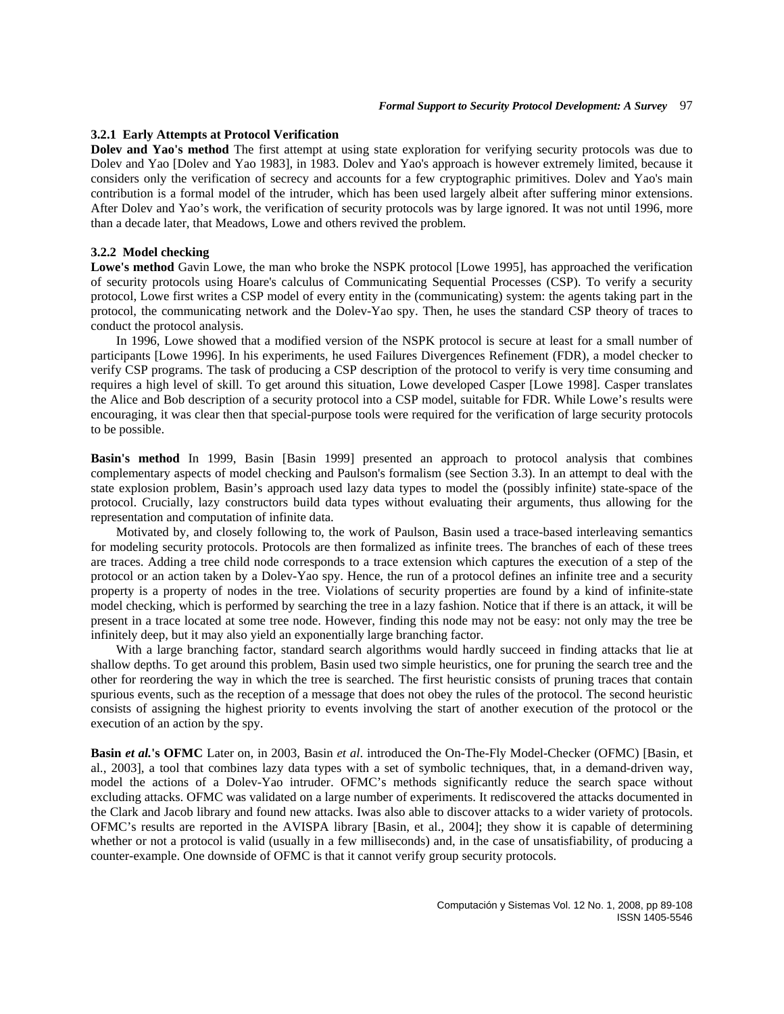#### **3.2.1 Early Attempts at Protocol Verification**

**Dolev and Yao's method** The first attempt at using state exploration for verifying security protocols was due to Dolev and Yao [Dolev and Yao 1983], in 1983. Dolev and Yao's approach is however extremely limited, because it considers only the verification of secrecy and accounts for a few cryptographic primitives. Dolev and Yao's main contribution is a formal model of the intruder, which has been used largely albeit after suffering minor extensions. After Dolev and Yao's work, the verification of security protocols was by large ignored. It was not until 1996, more than a decade later, that Meadows, Lowe and others revived the problem.

#### **3.2.2 Model checking**

**Lowe's method** Gavin Lowe, the man who broke the NSPK protocol [Lowe 1995], has approached the verification of security protocols using Hoare's calculus of Communicating Sequential Processes (CSP). To verify a security protocol, Lowe first writes a CSP model of every entity in the (communicating) system: the agents taking part in the protocol, the communicating network and the Dolev-Yao spy. Then, he uses the standard CSP theory of traces to conduct the protocol analysis.

In 1996, Lowe showed that a modified version of the NSPK protocol is secure at least for a small number of participants [Lowe 1996]. In his experiments, he used Failures Divergences Refinement (FDR), a model checker to verify CSP programs. The task of producing a CSP description of the protocol to verify is very time consuming and requires a high level of skill. To get around this situation, Lowe developed Casper [Lowe 1998]. Casper translates the Alice and Bob description of a security protocol into a CSP model, suitable for FDR. While Lowe's results were encouraging, it was clear then that special-purpose tools were required for the verification of large security protocols to be possible.

**Basin's method** In 1999, Basin [Basin 1999] presented an approach to protocol analysis that combines complementary aspects of model checking and Paulson's formalism (see Section 3.3). In an attempt to deal with the state explosion problem, Basin's approach used lazy data types to model the (possibly infinite) state-space of the protocol. Crucially, lazy constructors build data types without evaluating their arguments, thus allowing for the representation and computation of infinite data.

Motivated by, and closely following to, the work of Paulson, Basin used a trace-based interleaving semantics for modeling security protocols. Protocols are then formalized as infinite trees. The branches of each of these trees are traces. Adding a tree child node corresponds to a trace extension which captures the execution of a step of the protocol or an action taken by a Dolev-Yao spy. Hence, the run of a protocol defines an infinite tree and a security property is a property of nodes in the tree. Violations of security properties are found by a kind of infinite-state model checking, which is performed by searching the tree in a lazy fashion. Notice that if there is an attack, it will be present in a trace located at some tree node. However, finding this node may not be easy: not only may the tree be infinitely deep, but it may also yield an exponentially large branching factor.

With a large branching factor, standard search algorithms would hardly succeed in finding attacks that lie at shallow depths. To get around this problem, Basin used two simple heuristics, one for pruning the search tree and the other for reordering the way in which the tree is searched. The first heuristic consists of pruning traces that contain spurious events, such as the reception of a message that does not obey the rules of the protocol. The second heuristic consists of assigning the highest priority to events involving the start of another execution of the protocol or the execution of an action by the spy.

**Basin** *et al.***'s OFMC** Later on, in 2003, Basin *et al*. introduced the On-The-Fly Model-Checker (OFMC) [Basin, et al., 2003], a tool that combines lazy data types with a set of symbolic techniques, that, in a demand-driven way, model the actions of a Dolev-Yao intruder. OFMC's methods significantly reduce the search space without excluding attacks. OFMC was validated on a large number of experiments. It rediscovered the attacks documented in the Clark and Jacob library and found new attacks. Iwas also able to discover attacks to a wider variety of protocols. OFMC's results are reported in the AVISPA library [Basin, et al., 2004]; they show it is capable of determining whether or not a protocol is valid (usually in a few milliseconds) and, in the case of unsatisfiability, of producing a counter-example. One downside of OFMC is that it cannot verify group security protocols.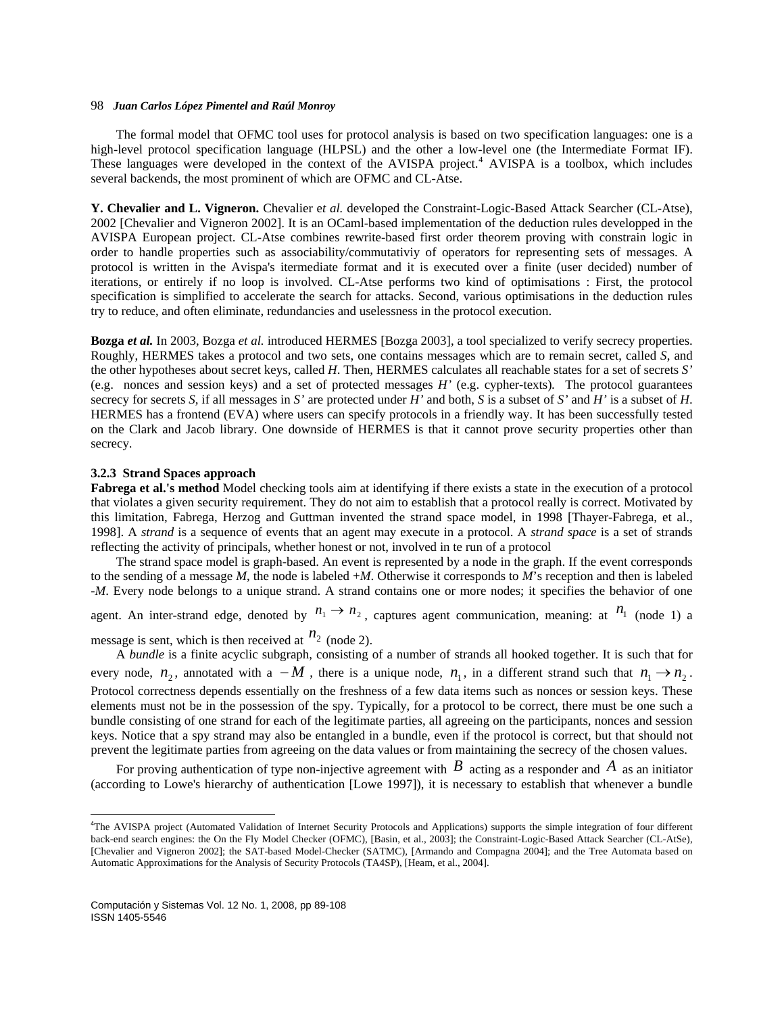The formal model that OFMC tool uses for protocol analysis is based on two specification languages: one is a high-level protocol specification language (HLPSL) and the other a low-level one (the Intermediate Format IF). These languages were developed in the context of the AVISPA project.<sup>[4](#page-9-0)</sup> AVISPA is a toolbox, which includes several backends, the most prominent of which are OFMC and CL-Atse.

**Y. Chevalier and L. Vigneron.** Chevalier e*t al.* developed the Constraint-Logic-Based Attack Searcher (CL-Atse), 2002 [Chevalier and Vigneron 2002]. It is an OCaml-based implementation of the deduction rules developped in the AVISPA European project. CL-Atse combines rewrite-based first order theorem proving with constrain logic in order to handle properties such as associability/commutativiy of operators for representing sets of messages. A protocol is written in the Avispa's itermediate format and it is executed over a finite (user decided) number of iterations, or entirely if no loop is involved. CL-Atse performs two kind of optimisations : First, the protocol specification is simplified to accelerate the search for attacks. Second, various optimisations in the deduction rules try to reduce, and often eliminate, redundancies and uselessness in the protocol execution.

**Bozga** *et al.* In 2003, Bozga *et al.* introduced HERMES [Bozga 2003], a tool specialized to verify secrecy properties. Roughly, HERMES takes a protocol and two sets, one contains messages which are to remain secret, called *S*, and the other hypotheses about secret keys, called *H*. Then, HERMES calculates all reachable states for a set of secrets *S'* (e.g. nonces and session keys) and a set of protected messages *H'* (e.g. cypher-texts)*.* The protocol guarantees secrecy for secrets *S,* if all messages in *S'* are protected under *H'* and both, *S* is a subset of *S'* and *H'* is a subset of *H*. HERMES has a frontend (EVA) where users can specify protocols in a friendly way. It has been successfully tested on the Clark and Jacob library. One downside of HERMES is that it cannot prove security properties other than secrecy.

#### **3.2.3 Strand Spaces approach**

**Fabrega et al.'s method** Model checking tools aim at identifying if there exists a state in the execution of a protocol that violates a given security requirement. They do not aim to establish that a protocol really is correct. Motivated by this limitation, Fabrega, Herzog and Guttman invented the strand space model, in 1998 [Thayer-Fabrega, et al., 1998]. A *strand* is a sequence of events that an agent may execute in a protocol. A *strand space* is a set of strands reflecting the activity of principals, whether honest or not, involved in te run of a protocol

The strand space model is graph-based. An event is represented by a node in the graph. If the event corresponds to the sending of a message  $M$ , the node is labeled  $+M$ . Otherwise it corresponds to  $M$ 's reception and then is labeled -*M*. Every node belongs to a unique strand. A strand contains one or more nodes; it specifies the behavior of one

agent. An inter-strand edge, denoted by  $n_1 \rightarrow n_2$ , captures agent communication, meaning: at  $n_1$  (node 1) a message is sent, which is then received at  $n_2$  (node 2).

A *bundle* is a finite acyclic subgraph, consisting of a number of strands all hooked together. It is such that for every node,  $n_2$ , annotated with a  $-M$ , there is a unique node,  $n_1$ , in a different strand such that  $n_1 \rightarrow n_2$ . Protocol correctness depends essentially on the freshness of a few data items such as nonces or session keys. These elements must not be in the possession of the spy. Typically, for a protocol to be correct, there must be one such a bundle consisting of one strand for each of the legitimate parties, all agreeing on the participants, nonces and session keys. Notice that a spy strand may also be entangled in a bundle, even if the protocol is correct, but that should not prevent the legitimate parties from agreeing on the data values or from maintaining the secrecy of the chosen values.

For proving authentication of type non-injective agreement with  $B$  acting as a responder and  $A$  as an initiator (according to Lowe's hierarchy of authentication [Lowe 1997]), it is necessary to establish that whenever a bundle

<span id="page-9-0"></span><sup>4</sup> The AVISPA project (Automated Validation of Internet Security Protocols and Applications) supports the simple integration of four different back-end search engines: the On the Fly Model Checker (OFMC), [Basin, et al., 2003]; the Constraint-Logic-Based Attack Searcher (CL-AtSe), [Chevalier and Vigneron 2002]; the SAT-based Model-Checker (SATMC), [Armando and Compagna 2004]; and the Tree Automata based on Automatic Approximations for the Analysis of Security Protocols (TA4SP), [Heam, et al., 2004].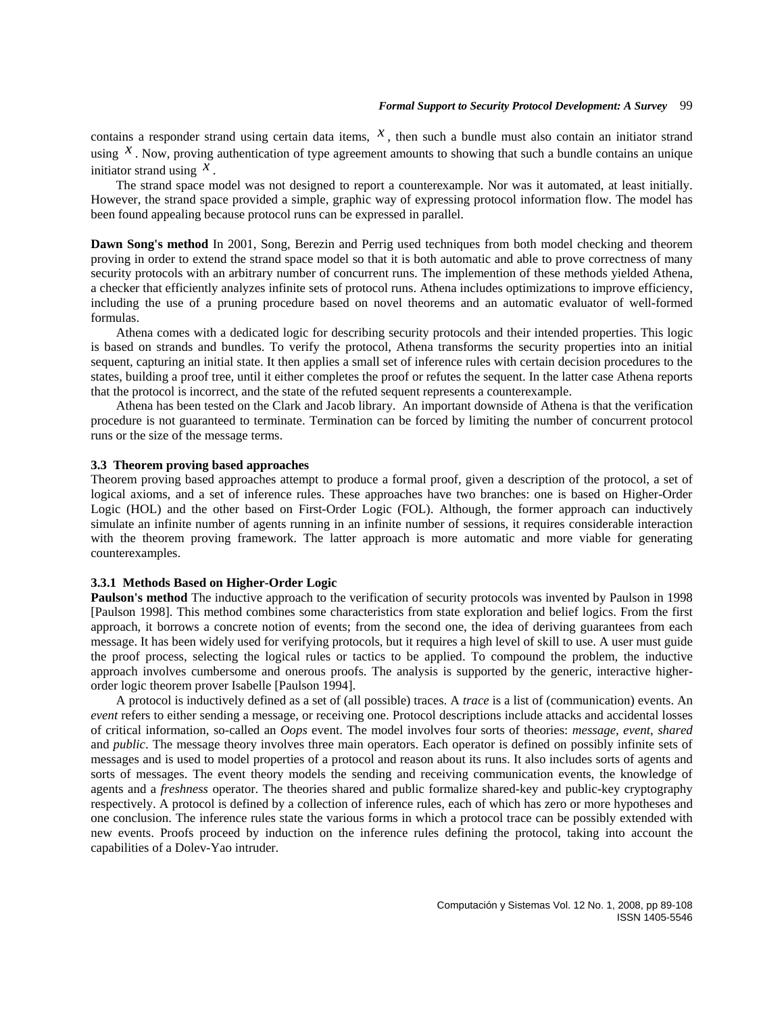contains a responder strand using certain data items,  $x$ , then such a bundle must also contain an initiator strand using  $x$ . Now, proving authentication of type agreement amounts to showing that such a bundle contains an unique initiator strand using  $^{\mathcal{X}}$ .

The strand space model was not designed to report a counterexample. Nor was it automated, at least initially. However, the strand space provided a simple, graphic way of expressing protocol information flow. The model has been found appealing because protocol runs can be expressed in parallel.

**Dawn Song's method** In 2001, Song, Berezin and Perrig used techniques from both model checking and theorem proving in order to extend the strand space model so that it is both automatic and able to prove correctness of many security protocols with an arbitrary number of concurrent runs. The implemention of these methods yielded Athena, a checker that efficiently analyzes infinite sets of protocol runs. Athena includes optimizations to improve efficiency, including the use of a pruning procedure based on novel theorems and an automatic evaluator of well-formed formulas.

Athena comes with a dedicated logic for describing security protocols and their intended properties. This logic is based on strands and bundles. To verify the protocol, Athena transforms the security properties into an initial sequent, capturing an initial state. It then applies a small set of inference rules with certain decision procedures to the states, building a proof tree, until it either completes the proof or refutes the sequent. In the latter case Athena reports that the protocol is incorrect, and the state of the refuted sequent represents a counterexample.

Athena has been tested on the Clark and Jacob library. An important downside of Athena is that the verification procedure is not guaranteed to terminate. Termination can be forced by limiting the number of concurrent protocol runs or the size of the message terms.

### **3.3 Theorem proving based approaches**

Theorem proving based approaches attempt to produce a formal proof, given a description of the protocol, a set of logical axioms, and a set of inference rules. These approaches have two branches: one is based on Higher-Order Logic (HOL) and the other based on First-Order Logic (FOL). Although, the former approach can inductively simulate an infinite number of agents running in an infinite number of sessions, it requires considerable interaction with the theorem proving framework. The latter approach is more automatic and more viable for generating counterexamples.

#### **3.3.1 Methods Based on Higher-Order Logic**

**Paulson's method** The inductive approach to the verification of security protocols was invented by Paulson in 1998 [Paulson 1998]. This method combines some characteristics from state exploration and belief logics. From the first approach, it borrows a concrete notion of events; from the second one, the idea of deriving guarantees from each message. It has been widely used for verifying protocols, but it requires a high level of skill to use. A user must guide the proof process, selecting the logical rules or tactics to be applied. To compound the problem, the inductive approach involves cumbersome and onerous proofs. The analysis is supported by the generic, interactive higherorder logic theorem prover Isabelle [Paulson 1994].

A protocol is inductively defined as a set of (all possible) traces. A *trace* is a list of (communication) events. An *event* refers to either sending a message, or receiving one. Protocol descriptions include attacks and accidental losses of critical information, so-called an *Oops* event. The model involves four sorts of theories: *message, event, shared* and *public*. The message theory involves three main operators. Each operator is defined on possibly infinite sets of messages and is used to model properties of a protocol and reason about its runs. It also includes sorts of agents and sorts of messages. The event theory models the sending and receiving communication events, the knowledge of agents and a *freshness* operator. The theories shared and public formalize shared-key and public-key cryptography respectively. A protocol is defined by a collection of inference rules, each of which has zero or more hypotheses and one conclusion. The inference rules state the various forms in which a protocol trace can be possibly extended with new events. Proofs proceed by induction on the inference rules defining the protocol, taking into account the capabilities of a Dolev-Yao intruder.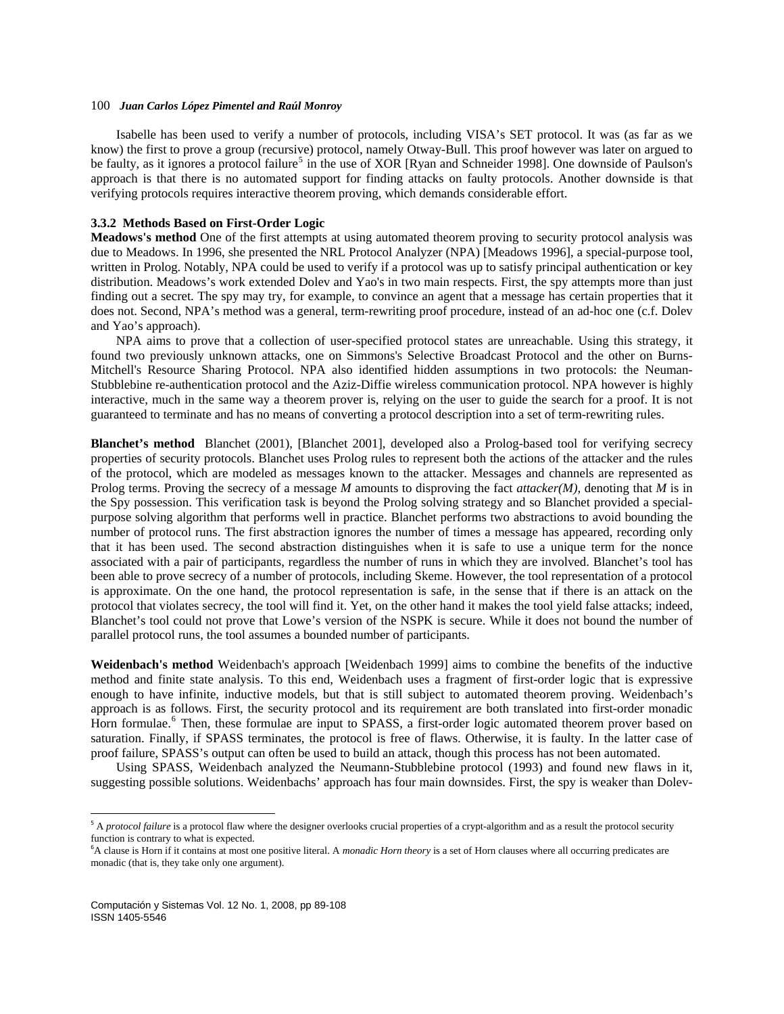Isabelle has been used to verify a number of protocols, including VISA's SET protocol. It was (as far as we know) the first to prove a group (recursive) protocol, namely Otway-Bull. This proof however was later on argued to be faulty, as it ignores a protocol failure<sup>[5](#page-11-0)</sup> in the use of XOR [Ryan and Schneider 1998]. One downside of Paulson's approach is that there is no automated support for finding attacks on faulty protocols. Another downside is that verifying protocols requires interactive theorem proving, which demands considerable effort.

#### **3.3.2 Methods Based on First-Order Logic**

**Meadows's method** One of the first attempts at using automated theorem proving to security protocol analysis was due to Meadows. In 1996, she presented the NRL Protocol Analyzer (NPA) [Meadows 1996], a special-purpose tool, written in Prolog. Notably, NPA could be used to verify if a protocol was up to satisfy principal authentication or key distribution. Meadows's work extended Dolev and Yao's in two main respects. First, the spy attempts more than just finding out a secret. The spy may try, for example, to convince an agent that a message has certain properties that it does not. Second, NPA's method was a general, term-rewriting proof procedure, instead of an ad-hoc one (c.f. Dolev and Yao's approach).

NPA aims to prove that a collection of user-specified protocol states are unreachable. Using this strategy, it found two previously unknown attacks, one on Simmons's Selective Broadcast Protocol and the other on Burns-Mitchell's Resource Sharing Protocol. NPA also identified hidden assumptions in two protocols: the Neuman-Stubblebine re-authentication protocol and the Aziz-Diffie wireless communication protocol. NPA however is highly interactive, much in the same way a theorem prover is, relying on the user to guide the search for a proof. It is not guaranteed to terminate and has no means of converting a protocol description into a set of term-rewriting rules.

**Blanchet's method** Blanchet (2001), [Blanchet 2001], developed also a Prolog-based tool for verifying secrecy properties of security protocols. Blanchet uses Prolog rules to represent both the actions of the attacker and the rules of the protocol, which are modeled as messages known to the attacker. Messages and channels are represented as Prolog terms. Proving the secrecy of a message *M* amounts to disproving the fact *attacker(M)*, denoting that *M* is in the Spy possession. This verification task is beyond the Prolog solving strategy and so Blanchet provided a specialpurpose solving algorithm that performs well in practice. Blanchet performs two abstractions to avoid bounding the number of protocol runs. The first abstraction ignores the number of times a message has appeared, recording only that it has been used. The second abstraction distinguishes when it is safe to use a unique term for the nonce associated with a pair of participants, regardless the number of runs in which they are involved. Blanchet's tool has been able to prove secrecy of a number of protocols, including Skeme. However, the tool representation of a protocol is approximate. On the one hand, the protocol representation is safe, in the sense that if there is an attack on the protocol that violates secrecy, the tool will find it. Yet, on the other hand it makes the tool yield false attacks; indeed, Blanchet's tool could not prove that Lowe's version of the NSPK is secure. While it does not bound the number of parallel protocol runs, the tool assumes a bounded number of participants.

**Weidenbach's method** Weidenbach's approach [Weidenbach 1999] aims to combine the benefits of the inductive method and finite state analysis. To this end, Weidenbach uses a fragment of first-order logic that is expressive enough to have infinite, inductive models, but that is still subject to automated theorem proving. Weidenbach's approach is as follows. First, the security protocol and its requirement are both translated into first-order monadic Horn formulae.<sup>[6](#page-11-1)</sup> Then, these formulae are input to SPASS, a first-order logic automated theorem prover based on saturation. Finally, if SPASS terminates, the protocol is free of flaws. Otherwise, it is faulty. In the latter case of proof failure, SPASS's output can often be used to build an attack, though this process has not been automated.

Using SPASS, Weidenbach analyzed the Neumann-Stubblebine protocol (1993) and found new flaws in it, suggesting possible solutions. Weidenbachs' approach has four main downsides. First, the spy is weaker than Dolev-

<span id="page-11-0"></span><sup>&</sup>lt;sup>5</sup> A *protocol failure* is a protocol flaw where the designer overlooks crucial properties of a crypt-algorithm and as a result the protocol security function is contrary to what is expected.

<span id="page-11-1"></span><sup>&</sup>lt;sup>6</sup>A clause is Horn if it contains at most one positive literal. A *monadic Horn theory* is a set of Horn clauses where all occurring predicates are monadic (that is, they take only one argument).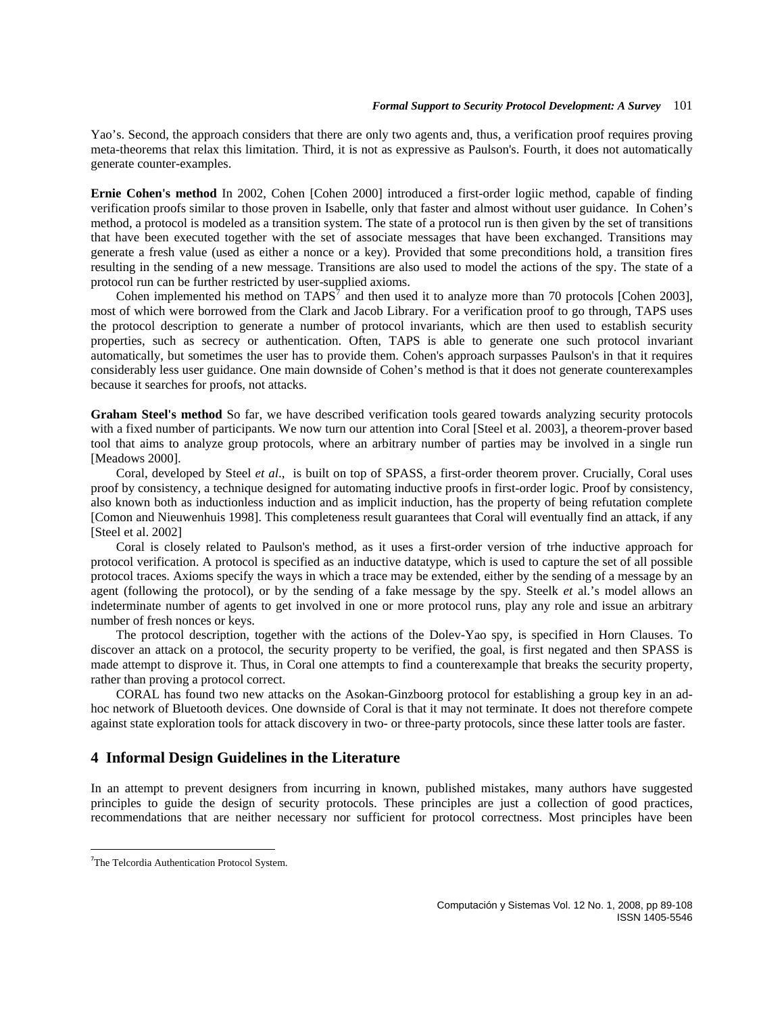Yao's. Second, the approach considers that there are only two agents and, thus, a verification proof requires proving meta-theorems that relax this limitation. Third, it is not as expressive as Paulson's. Fourth, it does not automatically generate counter-examples.

**Ernie Cohen's method** In 2002, Cohen [Cohen 2000] introduced a first-order logiic method, capable of finding verification proofs similar to those proven in Isabelle, only that faster and almost without user guidance. In Cohen's method, a protocol is modeled as a transition system. The state of a protocol run is then given by the set of transitions that have been executed together with the set of associate messages that have been exchanged. Transitions may generate a fresh value (used as either a nonce or a key). Provided that some preconditions hold, a transition fires resulting in the sending of a new message. Transitions are also used to model the actions of the spy. The state of a protocol run can be further restricted by user-supplied axioms.

Cohen implemented his method on  $TAPS<sup>7</sup>$  $TAPS<sup>7</sup>$  $TAPS<sup>7</sup>$  and then used it to analyze more than 70 protocols [Cohen 2003], most of which were borrowed from the Clark and Jacob Library. For a verification proof to go through, TAPS uses the protocol description to generate a number of protocol invariants, which are then used to establish security properties, such as secrecy or authentication. Often, TAPS is able to generate one such protocol invariant automatically, but sometimes the user has to provide them. Cohen's approach surpasses Paulson's in that it requires considerably less user guidance. One main downside of Cohen's method is that it does not generate counterexamples because it searches for proofs, not attacks.

**Graham Steel's method** So far, we have described verification tools geared towards analyzing security protocols with a fixed number of participants. We now turn our attention into Coral [Steel et al. 2003], a theorem-prover based tool that aims to analyze group protocols, where an arbitrary number of parties may be involved in a single run [Meadows 2000].

Coral, developed by Steel *et al*., is built on top of SPASS, a first-order theorem prover. Crucially, Coral uses proof by consistency, a technique designed for automating inductive proofs in first-order logic. Proof by consistency, also known both as inductionless induction and as implicit induction, has the property of being refutation complete [Comon and Nieuwenhuis 1998]. This completeness result guarantees that Coral will eventually find an attack, if any [Steel et al. 2002]

Coral is closely related to Paulson's method, as it uses a first-order version of trhe inductive approach for protocol verification. A protocol is specified as an inductive datatype, which is used to capture the set of all possible protocol traces. Axioms specify the ways in which a trace may be extended, either by the sending of a message by an agent (following the protocol), or by the sending of a fake message by the spy. Steelk *et* al.'s model allows an indeterminate number of agents to get involved in one or more protocol runs, play any role and issue an arbitrary number of fresh nonces or keys.

The protocol description, together with the actions of the Dolev-Yao spy, is specified in Horn Clauses. To discover an attack on a protocol, the security property to be verified, the goal, is first negated and then SPASS is made attempt to disprove it. Thus, in Coral one attempts to find a counterexample that breaks the security property, rather than proving a protocol correct.

CORAL has found two new attacks on the Asokan-Ginzboorg protocol for establishing a group key in an adhoc network of Bluetooth devices. One downside of Coral is that it may not terminate. It does not therefore compete against state exploration tools for attack discovery in two- or three-party protocols, since these latter tools are faster.

## **4 Informal Design Guidelines in the Literature**

In an attempt to prevent designers from incurring in known, published mistakes, many authors have suggested principles to guide the design of security protocols. These principles are just a collection of good practices, recommendations that are neither necessary nor sufficient for protocol correctness. Most principles have been

<span id="page-12-0"></span> <sup>7</sup>The Telcordia Authentication Protocol System.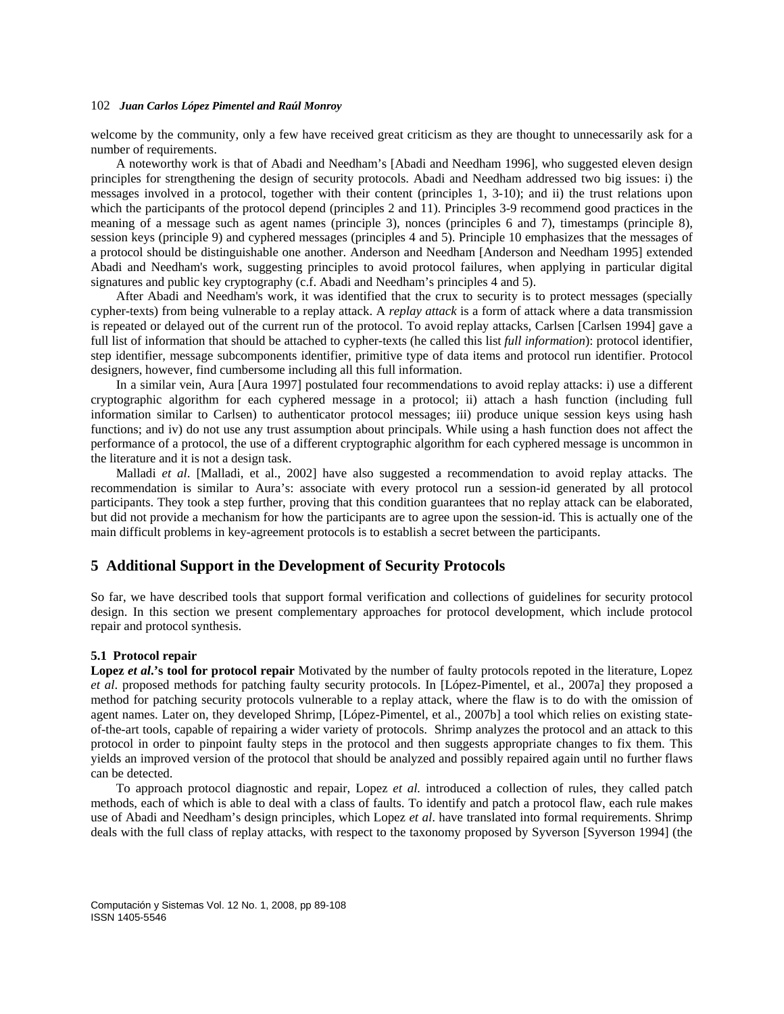welcome by the community, only a few have received great criticism as they are thought to unnecessarily ask for a number of requirements.

A noteworthy work is that of Abadi and Needham's [Abadi and Needham 1996], who suggested eleven design principles for strengthening the design of security protocols. Abadi and Needham addressed two big issues: i) the messages involved in a protocol, together with their content (principles 1, 3-10); and ii) the trust relations upon which the participants of the protocol depend (principles 2 and 11). Principles 3-9 recommend good practices in the meaning of a message such as agent names (principle 3), nonces (principles 6 and 7), timestamps (principle 8), session keys (principle 9) and cyphered messages (principles 4 and 5). Principle 10 emphasizes that the messages of a protocol should be distinguishable one another. Anderson and Needham [Anderson and Needham 1995] extended Abadi and Needham's work, suggesting principles to avoid protocol failures, when applying in particular digital signatures and public key cryptography (c.f. Abadi and Needham's principles 4 and 5).

After Abadi and Needham's work, it was identified that the crux to security is to protect messages (specially cypher-texts) from being vulnerable to a replay attack. A *replay attack* is a form of attack where a data transmission is repeated or delayed out of the current run of the protocol. To avoid replay attacks, Carlsen [Carlsen 1994] gave a full list of information that should be attached to cypher-texts (he called this list *full information*): protocol identifier, step identifier, message subcomponents identifier, primitive type of data items and protocol run identifier. Protocol designers, however, find cumbersome including all this full information.

In a similar vein, Aura [Aura 1997] postulated four recommendations to avoid replay attacks: i) use a different cryptographic algorithm for each cyphered message in a protocol; ii) attach a hash function (including full information similar to Carlsen) to authenticator protocol messages; iii) produce unique session keys using hash functions; and iv) do not use any trust assumption about principals. While using a hash function does not affect the performance of a protocol, the use of a different cryptographic algorithm for each cyphered message is uncommon in the literature and it is not a design task.

Malladi *et al*. [Malladi, et al., 2002] have also suggested a recommendation to avoid replay attacks. The recommendation is similar to Aura's: associate with every protocol run a session-id generated by all protocol participants. They took a step further, proving that this condition guarantees that no replay attack can be elaborated, but did not provide a mechanism for how the participants are to agree upon the session-id. This is actually one of the main difficult problems in key-agreement protocols is to establish a secret between the participants.

# **5 Additional Support in the Development of Security Protocols**

So far, we have described tools that support formal verification and collections of guidelines for security protocol design. In this section we present complementary approaches for protocol development, which include protocol repair and protocol synthesis.

### **5.1 Protocol repair**

**Lopez** *et al***.'s tool for protocol repair** Motivated by the number of faulty protocols repoted in the literature, Lopez *et al*. proposed methods for patching faulty security protocols. In [López-Pimentel, et al., 2007a] they proposed a method for patching security protocols vulnerable to a replay attack, where the flaw is to do with the omission of agent names. Later on, they developed Shrimp, [López-Pimentel, et al., 2007b] a tool which relies on existing stateof-the-art tools, capable of repairing a wider variety of protocols. Shrimp analyzes the protocol and an attack to this protocol in order to pinpoint faulty steps in the protocol and then suggests appropriate changes to fix them. This yields an improved version of the protocol that should be analyzed and possibly repaired again until no further flaws can be detected.

To approach protocol diagnostic and repair, Lopez *et al.* introduced a collection of rules, they called patch methods, each of which is able to deal with a class of faults. To identify and patch a protocol flaw, each rule makes use of Abadi and Needham's design principles, which Lopez *et al*. have translated into formal requirements. Shrimp deals with the full class of replay attacks, with respect to the taxonomy proposed by Syverson [Syverson 1994] (the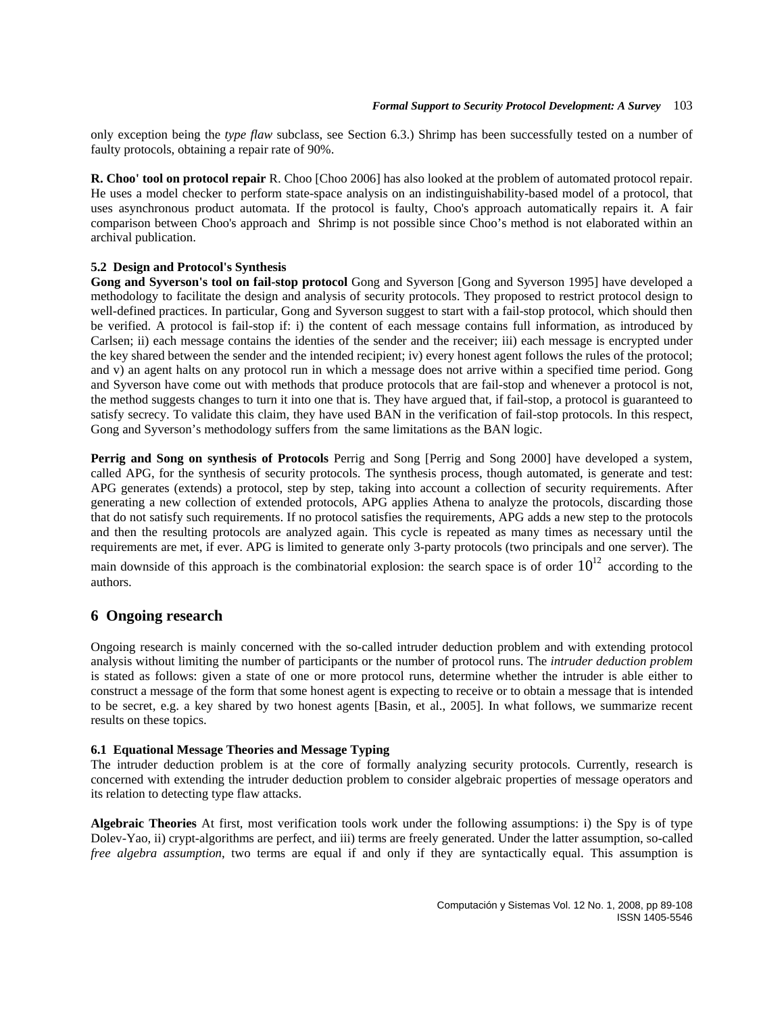only exception being the *type flaw* subclass, see Section 6.3.) Shrimp has been successfully tested on a number of faulty protocols, obtaining a repair rate of 90%.

**R. Choo' tool on protocol repair** R. Choo [Choo 2006] has also looked at the problem of automated protocol repair. He uses a model checker to perform state-space analysis on an indistinguishability-based model of a protocol, that uses asynchronous product automata. If the protocol is faulty, Choo's approach automatically repairs it. A fair comparison between Choo's approach and Shrimp is not possible since Choo's method is not elaborated within an archival publication.

### **5.2 Design and Protocol's Synthesis**

**Gong and Syverson's tool on fail-stop protocol** Gong and Syverson [Gong and Syverson 1995] have developed a methodology to facilitate the design and analysis of security protocols. They proposed to restrict protocol design to well-defined practices. In particular, Gong and Syverson suggest to start with a fail-stop protocol, which should then be verified. A protocol is fail-stop if: i) the content of each message contains full information, as introduced by Carlsen; ii) each message contains the identies of the sender and the receiver; iii) each message is encrypted under the key shared between the sender and the intended recipient; iv) every honest agent follows the rules of the protocol; and v) an agent halts on any protocol run in which a message does not arrive within a specified time period. Gong and Syverson have come out with methods that produce protocols that are fail-stop and whenever a protocol is not, the method suggests changes to turn it into one that is. They have argued that, if fail-stop, a protocol is guaranteed to satisfy secrecy. To validate this claim, they have used BAN in the verification of fail-stop protocols. In this respect, Gong and Syverson's methodology suffers from the same limitations as the BAN logic.

**Perrig and Song on synthesis of Protocols** Perrig and Song [Perrig and Song 2000] have developed a system, called APG, for the synthesis of security protocols. The synthesis process, though automated, is generate and test: APG generates (extends) a protocol, step by step, taking into account a collection of security requirements. After generating a new collection of extended protocols, APG applies Athena to analyze the protocols, discarding those that do not satisfy such requirements. If no protocol satisfies the requirements, APG adds a new step to the protocols and then the resulting protocols are analyzed again. This cycle is repeated as many times as necessary until the requirements are met, if ever. APG is limited to generate only 3-party protocols (two principals and one server). The main downside of this approach is the combinatorial explosion: the search space is of order  $10^{12}$  according to the authors.

# **6 Ongoing research**

Ongoing research is mainly concerned with the so-called intruder deduction problem and with extending protocol analysis without limiting the number of participants or the number of protocol runs. The *intruder deduction problem* is stated as follows: given a state of one or more protocol runs, determine whether the intruder is able either to construct a message of the form that some honest agent is expecting to receive or to obtain a message that is intended to be secret, e.g. a key shared by two honest agents [Basin, et al., 2005]. In what follows, we summarize recent results on these topics.

### **6.1 Equational Message Theories and Message Typing**

The intruder deduction problem is at the core of formally analyzing security protocols. Currently, research is concerned with extending the intruder deduction problem to consider algebraic properties of message operators and its relation to detecting type flaw attacks.

**Algebraic Theories** At first, most verification tools work under the following assumptions: i) the Spy is of type Dolev-Yao, ii) crypt-algorithms are perfect, and iii) terms are freely generated. Under the latter assumption, so-called *free algebra assumption*, two terms are equal if and only if they are syntactically equal. This assumption is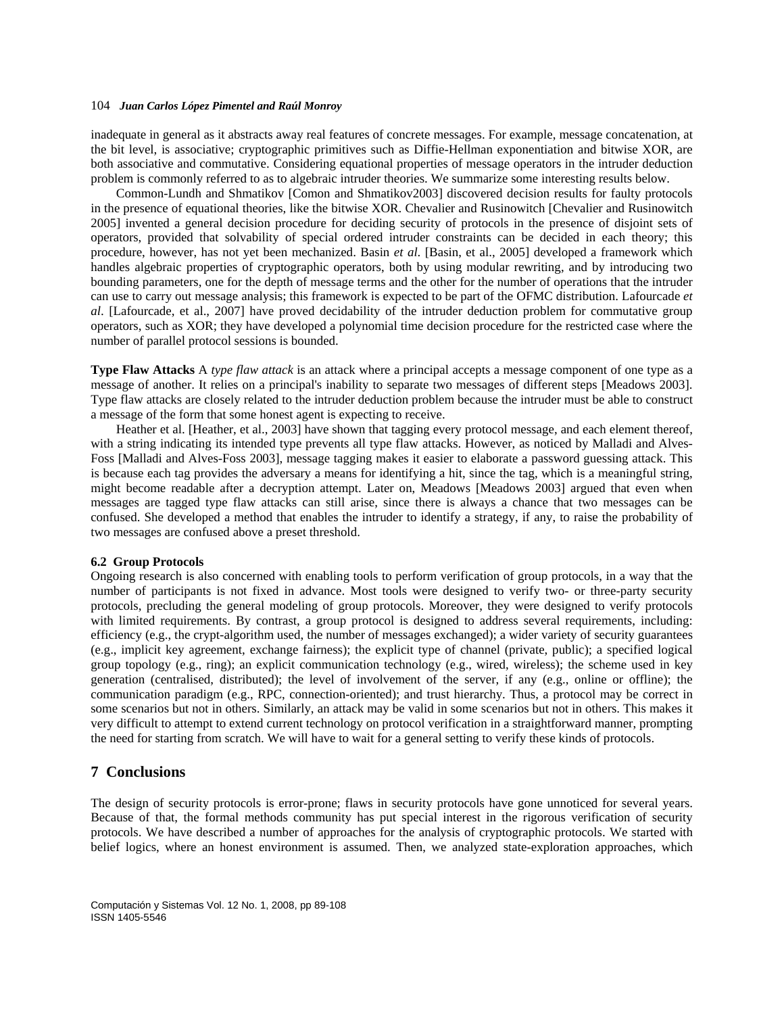inadequate in general as it abstracts away real features of concrete messages. For example, message concatenation, at the bit level, is associative; cryptographic primitives such as Diffie-Hellman exponentiation and bitwise XOR, are both associative and commutative. Considering equational properties of message operators in the intruder deduction problem is commonly referred to as to algebraic intruder theories. We summarize some interesting results below.

Common-Lundh and Shmatikov [Comon and Shmatikov2003] discovered decision results for faulty protocols in the presence of equational theories, like the bitwise XOR. Chevalier and Rusinowitch [Chevalier and Rusinowitch 2005] invented a general decision procedure for deciding security of protocols in the presence of disjoint sets of operators, provided that solvability of special ordered intruder constraints can be decided in each theory; this procedure, however, has not yet been mechanized. Basin *et al*. [Basin, et al., 2005] developed a framework which handles algebraic properties of cryptographic operators, both by using modular rewriting, and by introducing two bounding parameters, one for the depth of message terms and the other for the number of operations that the intruder can use to carry out message analysis; this framework is expected to be part of the OFMC distribution. Lafourcade *et al*. [Lafourcade, et al., 2007] have proved decidability of the intruder deduction problem for commutative group operators, such as XOR; they have developed a polynomial time decision procedure for the restricted case where the number of parallel protocol sessions is bounded.

**Type Flaw Attacks** A *type flaw attack* is an attack where a principal accepts a message component of one type as a message of another. It relies on a principal's inability to separate two messages of different steps [Meadows 2003]. Type flaw attacks are closely related to the intruder deduction problem because the intruder must be able to construct a message of the form that some honest agent is expecting to receive.

Heather et al. [Heather, et al., 2003] have shown that tagging every protocol message, and each element thereof, with a string indicating its intended type prevents all type flaw attacks. However, as noticed by Malladi and Alves-Foss [Malladi and Alves-Foss 2003], message tagging makes it easier to elaborate a password guessing attack. This is because each tag provides the adversary a means for identifying a hit, since the tag, which is a meaningful string, might become readable after a decryption attempt. Later on, Meadows [Meadows 2003] argued that even when messages are tagged type flaw attacks can still arise, since there is always a chance that two messages can be confused. She developed a method that enables the intruder to identify a strategy, if any, to raise the probability of two messages are confused above a preset threshold.

#### **6.2 Group Protocols**

Ongoing research is also concerned with enabling tools to perform verification of group protocols, in a way that the number of participants is not fixed in advance. Most tools were designed to verify two- or three-party security protocols, precluding the general modeling of group protocols. Moreover, they were designed to verify protocols with limited requirements. By contrast, a group protocol is designed to address several requirements, including: efficiency (e.g., the crypt-algorithm used, the number of messages exchanged); a wider variety of security guarantees (e.g., implicit key agreement, exchange fairness); the explicit type of channel (private, public); a specified logical group topology (e.g., ring); an explicit communication technology (e.g., wired, wireless); the scheme used in key generation (centralised, distributed); the level of involvement of the server, if any (e.g., online or offline); the communication paradigm (e.g., RPC, connection-oriented); and trust hierarchy. Thus, a protocol may be correct in some scenarios but not in others. Similarly, an attack may be valid in some scenarios but not in others. This makes it very difficult to attempt to extend current technology on protocol verification in a straightforward manner, prompting the need for starting from scratch. We will have to wait for a general setting to verify these kinds of protocols.

## **7 Conclusions**

The design of security protocols is error-prone; flaws in security protocols have gone unnoticed for several years. Because of that, the formal methods community has put special interest in the rigorous verification of security protocols. We have described a number of approaches for the analysis of cryptographic protocols. We started with belief logics, where an honest environment is assumed. Then, we analyzed state-exploration approaches, which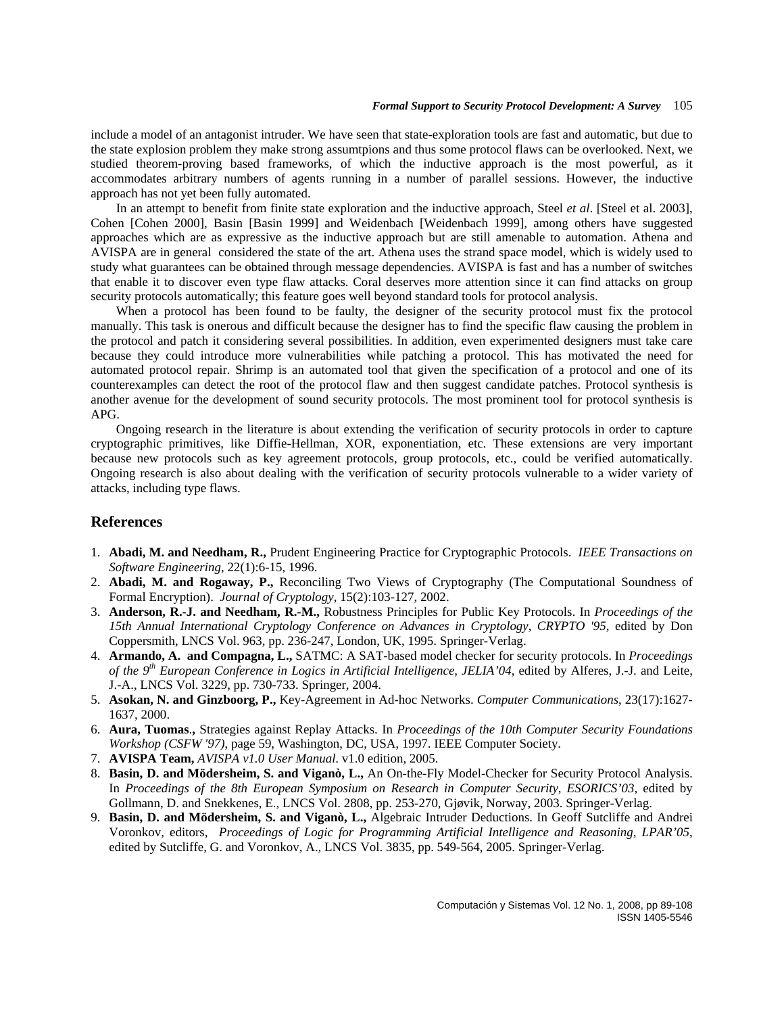include a model of an antagonist intruder. We have seen that state-exploration tools are fast and automatic, but due to the state explosion problem they make strong assumtpions and thus some protocol flaws can be overlooked. Next, we studied theorem-proving based frameworks, of which the inductive approach is the most powerful, as it accommodates arbitrary numbers of agents running in a number of parallel sessions. However, the inductive approach has not yet been fully automated.

In an attempt to benefit from finite state exploration and the inductive approach, Steel *et al*. [Steel et al. 2003], Cohen [Cohen 2000], Basin [Basin 1999] and Weidenbach [Weidenbach 1999], among others have suggested approaches which are as expressive as the inductive approach but are still amenable to automation. Athena and AVISPA are in general considered the state of the art. Athena uses the strand space model, which is widely used to study what guarantees can be obtained through message dependencies. AVISPA is fast and has a number of switches that enable it to discover even type flaw attacks. Coral deserves more attention since it can find attacks on group security protocols automatically; this feature goes well beyond standard tools for protocol analysis.

When a protocol has been found to be faulty, the designer of the security protocol must fix the protocol manually. This task is onerous and difficult because the designer has to find the specific flaw causing the problem in the protocol and patch it considering several possibilities. In addition, even experimented designers must take care because they could introduce more vulnerabilities while patching a protocol. This has motivated the need for automated protocol repair. Shrimp is an automated tool that given the specification of a protocol and one of its counterexamples can detect the root of the protocol flaw and then suggest candidate patches. Protocol synthesis is another avenue for the development of sound security protocols. The most prominent tool for protocol synthesis is APG.

Ongoing research in the literature is about extending the verification of security protocols in order to capture cryptographic primitives, like Diffie-Hellman, XOR, exponentiation, etc. These extensions are very important because new protocols such as key agreement protocols, group protocols, etc., could be verified automatically. Ongoing research is also about dealing with the verification of security protocols vulnerable to a wider variety of attacks, including type flaws.

# **References**

- 1. **Abadi, M. and Needham, R.,** Prudent Engineering Practice for Cryptographic Protocols. *IEEE Transactions on Software Engineering*, 22(1):6-15, 1996.
- 2. **Abadi, M. and Rogaway, P.,** Reconciling Two Views of Cryptography (The Computational Soundness of Formal Encryption). *Journal of Cryptology*, 15(2):103-127, 2002.
- 3. **Anderson, R.-J. and Needham, R.-M.,** Robustness Principles for Public Key Protocols. In *Proceedings of the 15th Annual International Cryptology Conference on Advances in Cryptology*, *CRYPTO '95*, edited by Don Coppersmith, LNCS Vol. 963, pp. 236-247, London, UK, 1995. Springer-Verlag.
- 4. **Armando, A. and Compagna, L.,** SATMC: A SAT-based model checker for security protocols. In *Proceedings of the 9th European Conference in Logics in Artificial Intelligence, JELIA'04*, edited by Alferes, J.-J. and Leite, J.-A., LNCS Vol. 3229, pp. 730-733. Springer, 2004.
- 5. **Asokan, N. and Ginzboorg, P.,** Key-Agreement in Ad-hoc Networks. *Computer Communications*, 23(17):1627- 1637, 2000.
- 6. **Aura, Tuomas**.**,** Strategies against Replay Attacks. In *Proceedings of the 10th Computer Security Foundations Workshop (CSFW '97)*, page 59, Washington, DC, USA, 1997. IEEE Computer Society.
- 7. **AVISPA Team,** *AVISPA v1.0 User Manual*. v1.0 edition, 2005.
- 8. **Basin, D. and Mödersheim, S. and Viganò, L.,** An On-the-Fly Model-Checker for Security Protocol Analysis. In *Proceedings of the 8th European Symposium on Research in Computer Security*, *ESORICS'03*, edited by Gollmann, D. and Snekkenes, E., LNCS Vol. 2808, pp. 253-270, Gjøvik, Norway, 2003. Springer-Verlag.
- 9. **Basin, D. and Mödersheim, S. and Viganò, L.,** Algebraic Intruder Deductions. In Geoff Sutcliffe and Andrei Voronkov, editors, *Proceedings of Logic for Programming Artificial Intelligence and Reasoning, LPAR'05*, edited by Sutcliffe, G. and Voronkov, A., LNCS Vol. 3835, pp. 549-564, 2005. Springer-Verlag.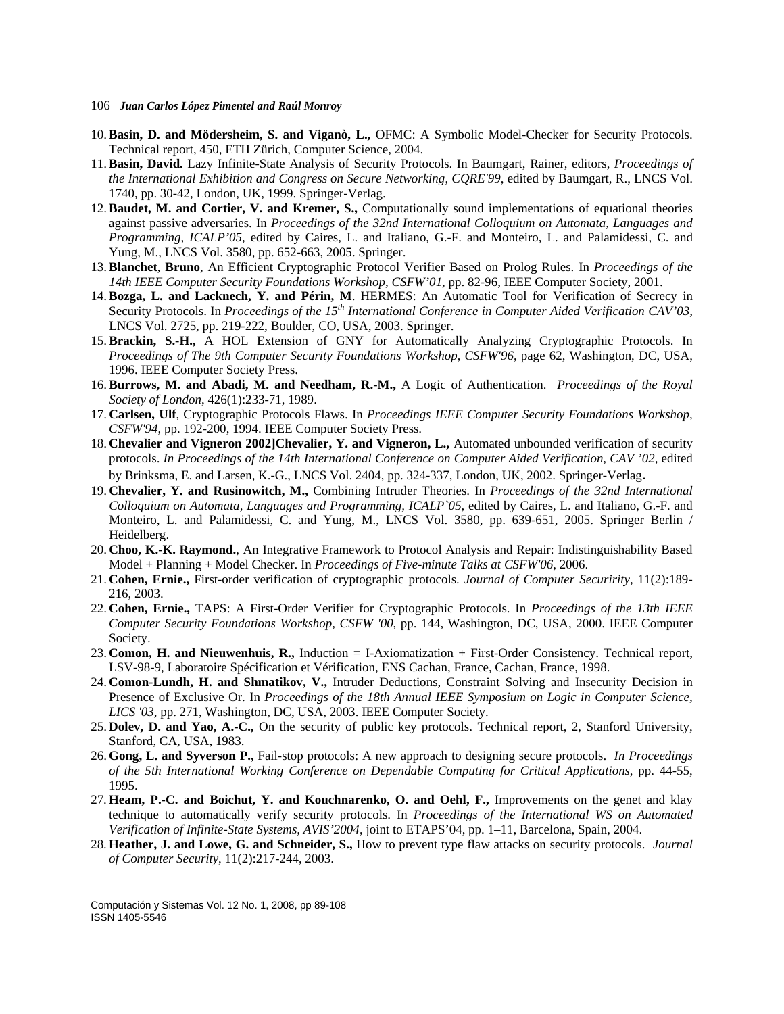- 106 *Juan Carlos López Pimentel and Raúl Monroy*
- 10. **Basin, D. and Mödersheim, S. and Viganò, L.,** OFMC: A Symbolic Model-Checker for Security Protocols. Technical report, 450, ETH Zürich, Computer Science, 2004.
- 11. **Basin, David.** Lazy Infinite-State Analysis of Security Protocols. In Baumgart, Rainer, editors, *Proceedings of the International Exhibition and Congress on Secure Networking*, *CQRE'99*, edited by Baumgart, R., LNCS Vol. 1740, pp. 30-42, London, UK, 1999. Springer-Verlag.
- 12. **Baudet, M. and Cortier, V. and Kremer, S.,** Computationally sound implementations of equational theories against passive adversaries. In *Proceedings of the 32nd International Colloquium on Automata, Languages and Programming, ICALP'05*, edited by Caires, L. and Italiano, G.-F. and Monteiro, L. and Palamidessi, C. and Yung, M., LNCS Vol. 3580, pp. 652-663, 2005. Springer.
- 13. **Blanchet**, **Bruno**, An Efficient Cryptographic Protocol Verifier Based on Prolog Rules. In *Proceedings of the 14th IEEE Computer Security Foundations Workshop*, *CSFW'01*, pp. 82-96, IEEE Computer Society, 2001.
- 14. **Bozga, L. and Lacknech, Y. and Périn, M**. HERMES: An Automatic Tool for Verification of Secrecy in Security Protocols. In *Proceedings of the 15<sup>th</sup> International Conference in Computer Aided Verification CAV'03*, LNCS Vol. 2725, pp. 219-222, Boulder, CO, USA, 2003. Springer.
- 15. **Brackin, S.-H.,** A HOL Extension of GNY for Automatically Analyzing Cryptographic Protocols. In *Proceedings of The 9th Computer Security Foundations Workshop*, *CSFW'96*, page 62, Washington, DC, USA, 1996. IEEE Computer Society Press.
- 16. **Burrows, M. and Abadi, M. and Needham, R.-M.,** A Logic of Authentication. *Proceedings of the Royal Society of London*, 426(1):233-71, 1989.
- 17. **Carlsen, Ulf**, Cryptographic Protocols Flaws. In *Proceedings IEEE Computer Security Foundations Workshop, CSFW'94*, pp. 192-200, 1994. IEEE Computer Society Press.
- 18. **Chevalier and Vigneron 2002]Chevalier, Y. and Vigneron, L.,** Automated unbounded verification of security protocols. *In Proceedings of the 14th International Conference on Computer Aided Verification*, *CAV '02,* edited by Brinksma, E. and Larsen, K.-G., LNCS Vol. 2404, pp. 324-337, London, UK, 2002. Springer-Verlag.
- 19. **Chevalier, Y. and Rusinowitch, M.,** Combining Intruder Theories. In *Proceedings of the 32nd International Colloquium on Automata, Languages and Programming, ICALP`05,* edited by Caires, L. and Italiano, G.-F. and Monteiro, L. and Palamidessi, C. and Yung, M., LNCS Vol. 3580, pp. 639-651, 2005. Springer Berlin / Heidelberg.
- 20. **Choo, K.-K. Raymond.**, An Integrative Framework to Protocol Analysis and Repair: Indistinguishability Based Model + Planning + Model Checker. In *Proceedings of Five-minute Talks at CSFW'06*, 2006.
- 21. **Cohen, Ernie.,** First-order verification of cryptographic protocols. *Journal of Computer Securirity*, 11(2):189- 216, 2003.
- 22. **Cohen, Ernie.,** TAPS: A First-Order Verifier for Cryptographic Protocols. In *Proceedings of the 13th IEEE Computer Security Foundations Workshop, CSFW '00*, pp. 144, Washington, DC, USA, 2000. IEEE Computer Society.
- 23. **Comon, H. and Nieuwenhuis, R.,** Induction = I-Axiomatization + First-Order Consistency. Technical report, LSV-98-9, Laboratoire Spécification et Vérification, ENS Cachan, France, Cachan, France, 1998.
- 24. **Comon-Lundh, H. and Shmatikov, V.,** Intruder Deductions, Constraint Solving and Insecurity Decision in Presence of Exclusive Or. In *Proceedings of the 18th Annual IEEE Symposium on Logic in Computer Science, LICS '03*, pp. 271, Washington, DC, USA, 2003. IEEE Computer Society.
- 25. **Dolev, D. and Yao, A.-C.,** On the security of public key protocols. Technical report, 2, Stanford University, Stanford, CA, USA, 1983.
- 26. **Gong, L. and Syverson P.,** Fail-stop protocols: A new approach to designing secure protocols. *In Proceedings of the 5th International Working Conference on Dependable Computing for Critical Applications*, pp. 44-55, 1995.
- 27. **Heam, P.-C. and Boichut, Y. and Kouchnarenko, O. and Oehl, F.,** Improvements on the genet and klay technique to automatically verify security protocols. In *Proceedings of the International WS on Automated Verification of Infinite-State Systems, AVIS'2004*, joint to ETAPS'04, pp. 1–11, Barcelona, Spain, 2004.
- 28. **Heather, J. and Lowe, G. and Schneider, S.,** How to prevent type flaw attacks on security protocols. *Journal of Computer Security*, 11(2):217-244, 2003.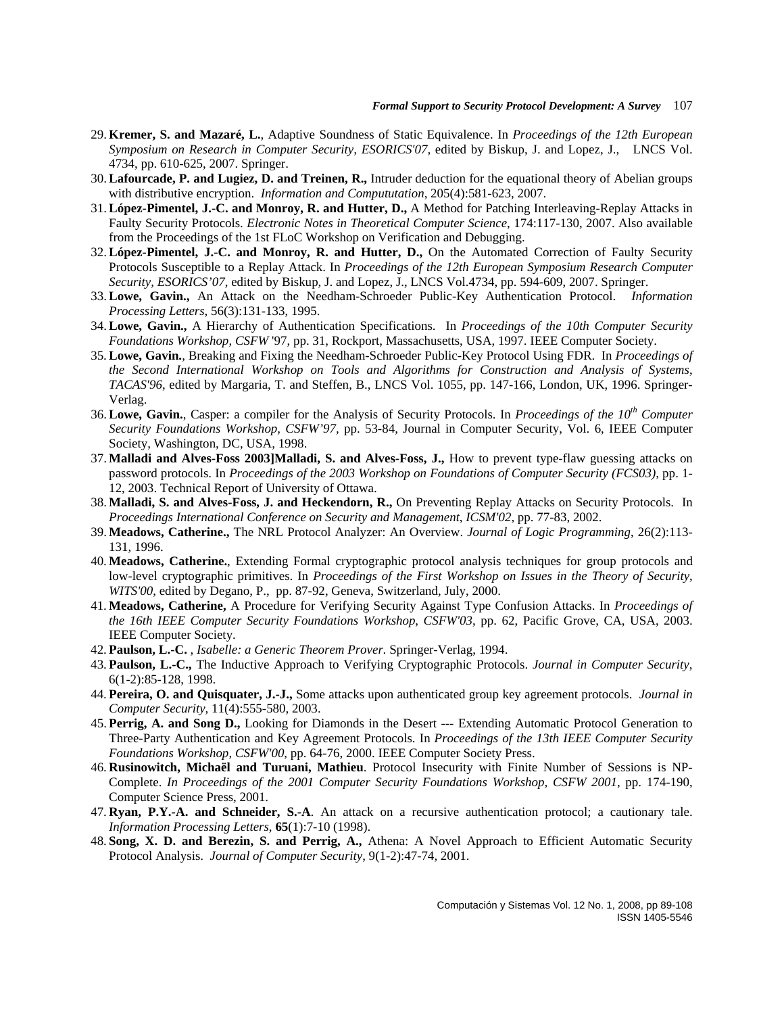- 29. **Kremer, S. and Mazaré, L.**, Adaptive Soundness of Static Equivalence. In *Proceedings of the 12th European Symposium on Research in Computer Security, ESORICS'07,* edited by Biskup, J. and Lopez, J., LNCS Vol. 4734, pp. 610-625, 2007. Springer.
- 30. **Lafourcade, P. and Lugiez, D. and Treinen, R.,** Intruder deduction for the equational theory of Abelian groups with distributive encryption. *Information and Compututation*, 205(4):581-623, 2007.
- 31. **López-Pimentel, J.-C. and Monroy, R. and Hutter, D.,** A Method for Patching Interleaving-Replay Attacks in Faulty Security Protocols. *Electronic Notes in Theoretical Computer Science*, 174:117-130, 2007. Also available from the Proceedings of the 1st FLoC Workshop on Verification and Debugging.
- 32. **López-Pimentel, J.-C. and Monroy, R. and Hutter, D.,** On the Automated Correction of Faulty Security Protocols Susceptible to a Replay Attack. In *Proceedings of the 12th European Symposium Research Computer Security, ESORICS'07*, edited by Biskup, J. and Lopez, J., LNCS Vol.4734, pp. 594-609, 2007. Springer.
- 33. **Lowe, Gavin.,** An Attack on the Needham-Schroeder Public-Key Authentication Protocol. *Information Processing Letters*, 56(3):131-133, 1995.
- 34. **Lowe, Gavin.,** A Hierarchy of Authentication Specifications. In *Proceedings of the 10th Computer Security Foundations Workshop*, *CSFW* '97, pp. 31, Rockport, Massachusetts, USA, 1997. IEEE Computer Society.
- 35. **Lowe, Gavin.**, Breaking and Fixing the Needham-Schroeder Public-Key Protocol Using FDR. In *Proceedings of the Second International Workshop on Tools and Algorithms for Construction and Analysis of Systems*, *TACAS'96*, edited by Margaria, T. and Steffen, B., LNCS Vol. 1055, pp. 147-166, London, UK, 1996. Springer-Verlag.
- 36. **Lowe, Gavin.**, Casper: a compiler for the Analysis of Security Protocols. In *Proceedings of the 10th Computer Security Foundations Workshop, CSFW'97,* pp. 53-84, Journal in Computer Security, Vol. 6, IEEE Computer Society, Washington, DC, USA, 1998.
- 37. **Malladi and Alves-Foss 2003]Malladi, S. and Alves-Foss, J.,** How to prevent type-flaw guessing attacks on password protocols. In *Proceedings of the 2003 Workshop on Foundations of Computer Security (FCS03)*, pp. 1- 12, 2003. Technical Report of University of Ottawa.
- 38. **Malladi, S. and Alves-Foss, J. and Heckendorn, R.,** On Preventing Replay Attacks on Security Protocols. In *Proceedings International Conference on Security and Management*, *ICSM'02*, pp. 77-83, 2002.
- 39. **Meadows, Catherine.,** The NRL Protocol Analyzer: An Overview. *Journal of Logic Programming*, 26(2):113- 131, 1996.
- 40. **Meadows, Catherine.**, Extending Formal cryptographic protocol analysis techniques for group protocols and low-level cryptographic primitives. In *Proceedings of the First Workshop on Issues in the Theory of Security*, *WITS'00*, edited by Degano, P., pp. 87-92, Geneva, Switzerland, July, 2000.
- 41. **Meadows, Catherine,** A Procedure for Verifying Security Against Type Confusion Attacks. In *Proceedings of the 16th IEEE Computer Security Foundations Workshop*, *CSFW'03*, pp. 62, Pacific Grove, CA, USA, 2003. IEEE Computer Society.
- 42. **Paulson, L.-C.** , *Isabelle: a Generic Theorem Prover*. Springer-Verlag, 1994.
- 43. **Paulson, L.-C.,** The Inductive Approach to Verifying Cryptographic Protocols. *Journal in Computer Security*, 6(1-2):85-128, 1998.
- 44. **Pereira, O. and Quisquater, J.-J.,** Some attacks upon authenticated group key agreement protocols. *Journal in Computer Security*, 11(4):555-580, 2003.
- 45. **Perrig, A. and Song D.,** Looking for Diamonds in the Desert --- Extending Automatic Protocol Generation to Three-Party Authentication and Key Agreement Protocols. In *Proceedings of the 13th IEEE Computer Security Foundations Workshop*, *CSFW'00*, pp. 64-76, 2000. IEEE Computer Society Press.
- 46. **Rusinowitch, Michaël and Turuani, Mathieu**. Protocol Insecurity with Finite Number of Sessions is NP-Complete. *In Proceedings of the 2001 Computer Security Foundations Workshop, CSFW 2001*, pp. 174-190, Computer Science Press, 2001.
- 47. **Ryan, P.Y.-A. and Schneider, S.-A**. An attack on a recursive authentication protocol; a cautionary tale. *Information Processing Letters*, **65**(1):7-10 (1998).
- 48. **Song, X. D. and Berezin, S. and Perrig, A.,** Athena: A Novel Approach to Efficient Automatic Security Protocol Analysis. *Journal of Computer Security*, 9(1-2):47-74, 2001.